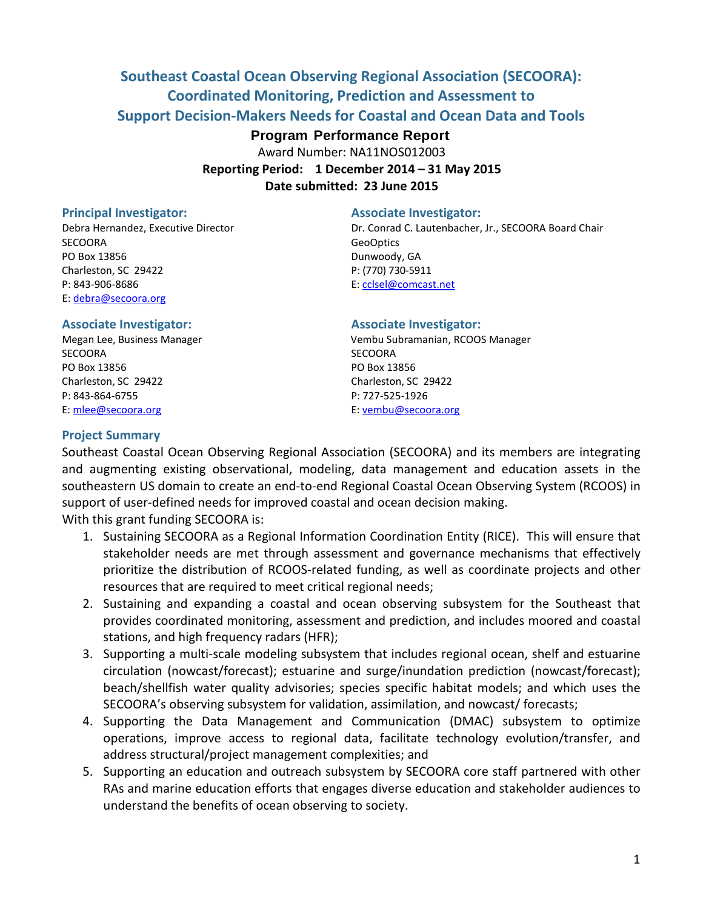# **Southeast Coastal Ocean Observing Regional Association (SECOORA): Coordinated Monitoring, Prediction and Assessment to Support Decision-Makers Needs for Coastal and Ocean Data and Tools**

## **Program Performance Report**

Award Number: NA11NOS012003 **Reporting Period: 1 December 2014 – 31 May 2015 Date submitted: 23 June 2015**

SECOORA GeoOptics and the second second second second second second second second second second second second second second second second second second second second second second second second second second second second PO Box 13856 Dunwoody, GA Charleston, SC 29422 P: (770) 730-5911 P: 843-906-8686 E: [cclsel@comcast.net](mailto:cclsel@comcast.net) E: [debra@secoora.org](mailto:debra@secoora.org)

## **Principal Investigator: Associate Investigator:**

Debra Hernandez, Executive Director Dr. Conrad C. Lautenbacher, Jr., SECOORA Board Chair

SECOORA SECOORA PO Box 13856 PO Box 13856 Charleston, SC 29422 Charleston, SC 29422 P: 843-864-6755 P: 727-525-1926 E[: mlee@secoora.org](mailto:mlee@secoora.org) E: [vembu@secoora.org](mailto:vembu@secoora.org)

#### **Associate Investigator: Associate Investigator:**

Megan Lee, Business Manager Vembu Subramanian, RCOOS Manager

#### **Project Summary**

Southeast Coastal Ocean Observing Regional Association (SECOORA) and its members are integrating and augmenting existing observational, modeling, data management and education assets in the southeastern US domain to create an end-to-end Regional Coastal Ocean Observing System (RCOOS) in support of user-defined needs for improved coastal and ocean decision making.

With this grant funding SECOORA is:

- 1. Sustaining SECOORA as a Regional Information Coordination Entity (RICE). This will ensure that stakeholder needs are met through assessment and governance mechanisms that effectively prioritize the distribution of RCOOS-related funding, as well as coordinate projects and other resources that are required to meet critical regional needs;
- 2. Sustaining and expanding a coastal and ocean observing subsystem for the Southeast that provides coordinated monitoring, assessment and prediction, and includes moored and coastal stations, and high frequency radars (HFR);
- 3. Supporting a multi-scale modeling subsystem that includes regional ocean, shelf and estuarine circulation (nowcast/forecast); estuarine and surge/inundation prediction (nowcast/forecast); beach/shellfish water quality advisories; species specific habitat models; and which uses the SECOORA's observing subsystem for validation, assimilation, and nowcast/ forecasts;
- 4. Supporting the Data Management and Communication (DMAC) subsystem to optimize operations, improve access to regional data, facilitate technology evolution/transfer, and address structural/project management complexities; and
- 5. Supporting an education and outreach subsystem by SECOORA core staff partnered with other RAs and marine education efforts that engages diverse education and stakeholder audiences to understand the benefits of ocean observing to society.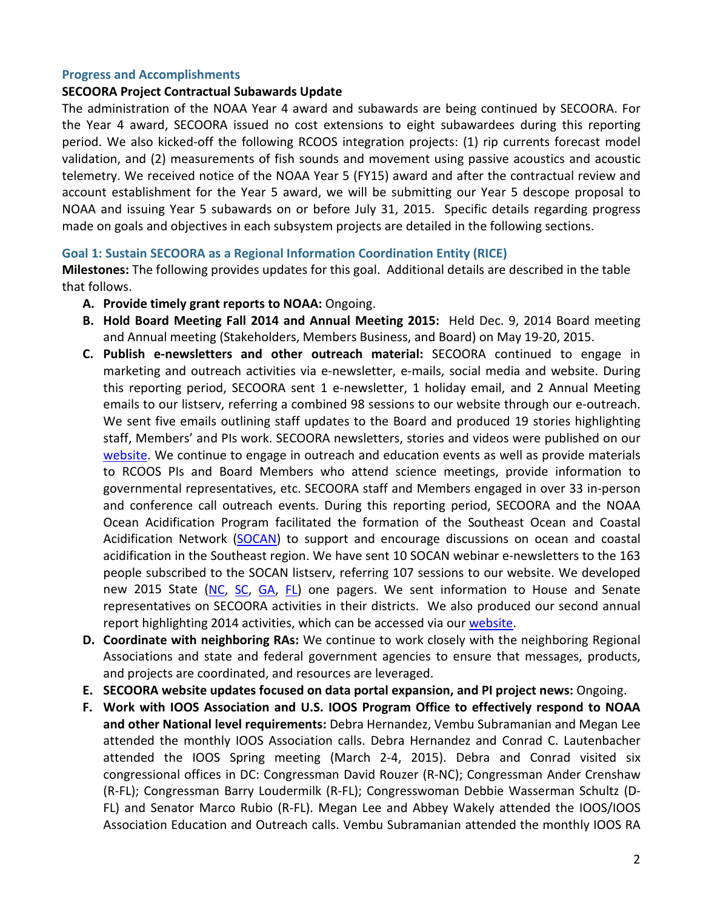## **Progress and Accomplishments**

### **SECOORA Project Contractual Subawards Update**

The administration of the NOAA Year 4 award and subawards are being continued by SECOORA. For the Year 4 award, SECOORA issued no cost extensions to eight subawardees during this reporting period. We also kicked-off the following RCOOS integration projects: (1) rip currents forecast model validation, and (2) measurements of fish sounds and movement using passive acoustics and acoustic telemetry. We received notice of the NOAA Year 5 (FY15) award and after the contractual review and account establishment for the Year 5 award, we will be submitting our Year 5 descope proposal to NOAA and issuing Year 5 subawards on or before July 31, 2015. Specific details regarding progress made on goals and objectives in each subsystem projects are detailed in the following sections.

## **Goal 1: Sustain SECOORA as a Regional Information Coordination Entity (RICE)**

**Milestones:** The following provides updates for this goal. Additional details are described in the table that follows.

- **A. Provide timely grant reports to NOAA:** Ongoing.
- **B. Hold Board Meeting Fall 2014 and Annual Meeting 2015:** Held Dec. 9, 2014 Board meeting and Annual meeting (Stakeholders, Members Business, and Board) on May 19-20, 2015.
- **C. Publish e-newsletters and other outreach material:** SECOORA continued to engage in marketing and outreach activities via e-newsletter, e-mails, social media and website. During this reporting period, SECOORA sent 1 e-newsletter, 1 holiday email, and 2 Annual Meeting emails to our listserv, referring a combined 98 sessions to our website through our e-outreach. We sent five emails outlining staff updates to the Board and produced 19 stories highlighting staff, Members' and PIs work. SECOORA newsletters, stories and videos were published on our [website.](http://www.secoora.org/) We continue to engage in outreach and education events as well as provide materials to RCOOS PIs and Board Members who attend science meetings, provide information to governmental representatives, etc. SECOORA staff and Members engaged in over 33 in-person and conference call outreach events. During this reporting period, SECOORA and the NOAA Ocean Acidification Program facilitated the formation of the Southeast Ocean and Coastal Acidification Network [\(SOCAN\)](http://secoora.org/socan) to support and encourage discussions on ocean and coastal acidification in the Southeast region. We have sent 10 SOCAN webinar e-newsletters to the 163 people subscribed to the SOCAN listserv, referring 107 sessions to our website. We developed new 2015 State [\(NC,](http://secoora.org/webfm_send/1275) [SC,](http://secoora.org/webfm_send/1276) [GA,](http://secoora.org/webfm_send/1274) [FL\)](http://secoora.org/webfm_send/1273) one pagers. We sent information to House and Senate representatives on SECOORA activities in their districts. We also produced our second annual report highlighting 2014 activities, which can be accessed via our [website.](http://secoora.org/webfm_send/1278)
- **D. Coordinate with neighboring RAs:** We continue to work closely with the neighboring Regional Associations and state and federal government agencies to ensure that messages, products, and projects are coordinated, and resources are leveraged.
- **E. SECOORA website updates focused on data portal expansion, and PI project news:** Ongoing.
- **F. Work with IOOS Association and U.S. IOOS Program Office to effectively respond to NOAA and other National level requirements:** Debra Hernandez, Vembu Subramanian and Megan Lee attended the monthly IOOS Association calls. Debra Hernandez and Conrad C. Lautenbacher attended the IOOS Spring meeting (March 2-4, 2015). Debra and Conrad visited six congressional offices in DC: Congressman David Rouzer (R-NC); Congressman Ander Crenshaw (R-FL); Congressman Barry Loudermilk (R-FL); Congresswoman Debbie Wasserman Schultz (D-FL) and Senator Marco Rubio (R-FL). Megan Lee and Abbey Wakely attended the IOOS/IOOS Association Education and Outreach calls. Vembu Subramanian attended the monthly IOOS RA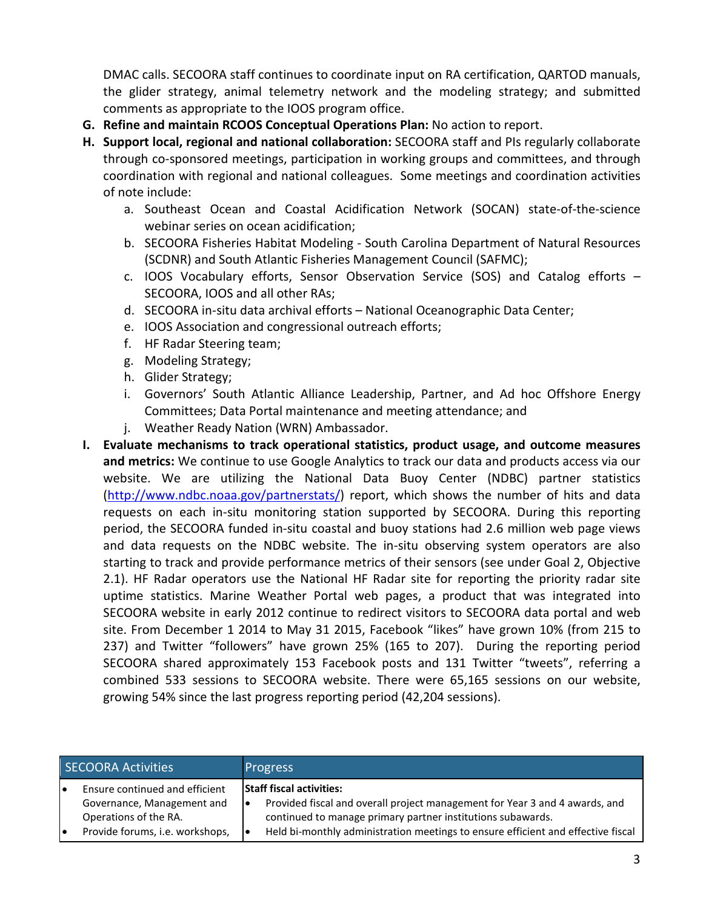DMAC calls. SECOORA staff continues to coordinate input on RA certification, QARTOD manuals, the glider strategy, animal telemetry network and the modeling strategy; and submitted comments as appropriate to the IOOS program office.

- **G. Refine and maintain RCOOS Conceptual Operations Plan:** No action to report.
- **H. Support local, regional and national collaboration:** SECOORA staff and PIs regularly collaborate through co-sponsored meetings, participation in working groups and committees, and through coordination with regional and national colleagues. Some meetings and coordination activities of note include:
	- a. Southeast Ocean and Coastal Acidification Network (SOCAN) state-of-the-science webinar series on ocean acidification;
	- b. SECOORA Fisheries Habitat Modeling South Carolina Department of Natural Resources (SCDNR) and South Atlantic Fisheries Management Council (SAFMC);
	- c. IOOS Vocabulary efforts, Sensor Observation Service (SOS) and Catalog efforts SECOORA, IOOS and all other RAs;
	- d. SECOORA in-situ data archival efforts National Oceanographic Data Center;
	- e. IOOS Association and congressional outreach efforts;
	- f. HF Radar Steering team;
	- g. Modeling Strategy;
	- h. Glider Strategy;
	- i. Governors' South Atlantic Alliance Leadership, Partner, and Ad hoc Offshore Energy Committees; Data Portal maintenance and meeting attendance; and
	- j. Weather Ready Nation (WRN) Ambassador.
- **I. Evaluate mechanisms to track operational statistics, product usage, and outcome measures and metrics:** We continue to use Google Analytics to track our data and products access via our website. We are utilizing the National Data Buoy Center (NDBC) partner statistics [\(http://www.ndbc.noaa.gov/partnerstats/\)](http://www.ndbc.noaa.gov/partnerstats/) report, which shows the number of hits and data requests on each in-situ monitoring station supported by SECOORA. During this reporting period, the SECOORA funded in-situ coastal and buoy stations had 2.6 million web page views and data requests on the NDBC website. The in-situ observing system operators are also starting to track and provide performance metrics of their sensors (see under Goal 2, Objective 2.1). HF Radar operators use the National HF Radar site for reporting the priority radar site uptime statistics. Marine Weather Portal web pages, a product that was integrated into SECOORA website in early 2012 continue to redirect visitors to SECOORA data portal and web site. From December 1 2014 to May 31 2015, Facebook "likes" have grown 10% (from 215 to 237) and Twitter "followers" have grown 25% (165 to 207). During the reporting period SECOORA shared approximately 153 Facebook posts and 131 Twitter "tweets", referring a combined 533 sessions to SECOORA website. There were 65,165 sessions on our website, growing 54% since the last progress reporting period (42,204 sessions).

| <b>SECOORA Activities</b> |                                                                                                                          |          | <b>Progress</b>                                                                                                                                                                                                                                                   |
|---------------------------|--------------------------------------------------------------------------------------------------------------------------|----------|-------------------------------------------------------------------------------------------------------------------------------------------------------------------------------------------------------------------------------------------------------------------|
| $\bullet$                 | Ensure continued and efficient<br>Governance, Management and<br>Operations of the RA.<br>Provide forums, i.e. workshops, | I۰<br>I۰ | <b>Staff fiscal activities:</b><br>Provided fiscal and overall project management for Year 3 and 4 awards, and<br>continued to manage primary partner institutions subawards.<br>Held bi-monthly administration meetings to ensure efficient and effective fiscal |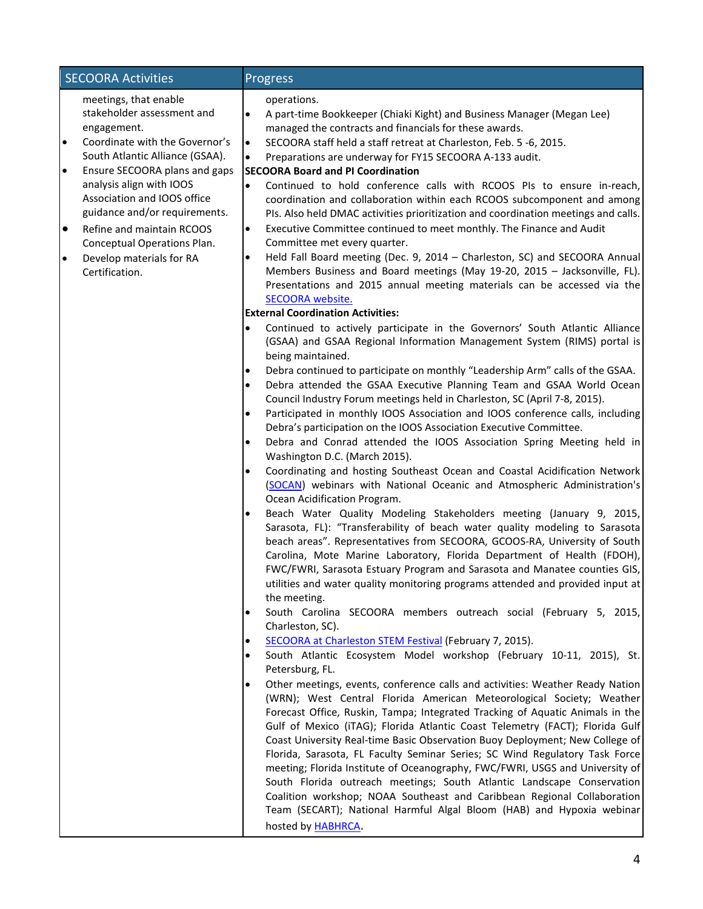| <b>SECOORA Activities</b>                                                                                                                                                                                                                                                                                                                                                                                                          | Progress                                                                                                                                                                                                                                                                                                                                                                                                                                                                                                                                                                                                                                                                                                                                                                                                                                                                                                                                                                                                                                                                                                                                                                                                                                                                                                                                                                                                                                                                                                                                                                                                                                                                                                                                                                                                                                                                                                                                                                                                                                                                                                                                                                                                                                                                                                                                                                                                                                                                                                                                                                                                                                                                                                                                                                                                                                                                                                                                                                                                                                                                                                                                                                                                                                                                                                                                                                                                                                                                                                                                                                                                                                                           |
|------------------------------------------------------------------------------------------------------------------------------------------------------------------------------------------------------------------------------------------------------------------------------------------------------------------------------------------------------------------------------------------------------------------------------------|--------------------------------------------------------------------------------------------------------------------------------------------------------------------------------------------------------------------------------------------------------------------------------------------------------------------------------------------------------------------------------------------------------------------------------------------------------------------------------------------------------------------------------------------------------------------------------------------------------------------------------------------------------------------------------------------------------------------------------------------------------------------------------------------------------------------------------------------------------------------------------------------------------------------------------------------------------------------------------------------------------------------------------------------------------------------------------------------------------------------------------------------------------------------------------------------------------------------------------------------------------------------------------------------------------------------------------------------------------------------------------------------------------------------------------------------------------------------------------------------------------------------------------------------------------------------------------------------------------------------------------------------------------------------------------------------------------------------------------------------------------------------------------------------------------------------------------------------------------------------------------------------------------------------------------------------------------------------------------------------------------------------------------------------------------------------------------------------------------------------------------------------------------------------------------------------------------------------------------------------------------------------------------------------------------------------------------------------------------------------------------------------------------------------------------------------------------------------------------------------------------------------------------------------------------------------------------------------------------------------------------------------------------------------------------------------------------------------------------------------------------------------------------------------------------------------------------------------------------------------------------------------------------------------------------------------------------------------------------------------------------------------------------------------------------------------------------------------------------------------------------------------------------------------------------------------------------------------------------------------------------------------------------------------------------------------------------------------------------------------------------------------------------------------------------------------------------------------------------------------------------------------------------------------------------------------------------------------------------------------------------------------------------------------|
| meetings, that enable<br>stakeholder assessment and<br>engagement.<br>$\bullet$<br>Coordinate with the Governor's<br>South Atlantic Alliance (GSAA).<br>Ensure SECOORA plans and gaps<br>$\bullet$<br>analysis align with IOOS<br>Association and IOOS office<br>guidance and/or requirements.<br>$\bullet$<br>Refine and maintain RCOOS<br>Conceptual Operations Plan.<br>Develop materials for RA<br>$\bullet$<br>Certification. | operations.<br>$\bullet$<br>A part-time Bookkeeper (Chiaki Kight) and Business Manager (Megan Lee)<br>managed the contracts and financials for these awards.<br>SECOORA staff held a staff retreat at Charleston, Feb. 5 -6, 2015.<br>$\bullet$<br>Preparations are underway for FY15 SECOORA A-133 audit.<br>$\bullet$<br><b>SECOORA Board and PI Coordination</b><br>$\bullet$<br>Continued to hold conference calls with RCOOS PIs to ensure in-reach,<br>coordination and collaboration within each RCOOS subcomponent and among<br>PIs. Also held DMAC activities prioritization and coordination meetings and calls.<br>Executive Committee continued to meet monthly. The Finance and Audit<br>$\bullet$<br>Committee met every quarter.<br>Held Fall Board meeting (Dec. 9, 2014 - Charleston, SC) and SECOORA Annual<br>$\bullet$<br>Members Business and Board meetings (May 19-20, 2015 - Jacksonville, FL).<br>Presentations and 2015 annual meeting materials can be accessed via the<br>SECOORA website.<br><b>External Coordination Activities:</b><br>Continued to actively participate in the Governors' South Atlantic Alliance<br>$\bullet$<br>(GSAA) and GSAA Regional Information Management System (RIMS) portal is<br>being maintained.<br>Debra continued to participate on monthly "Leadership Arm" calls of the GSAA.<br>$\bullet$<br>Debra attended the GSAA Executive Planning Team and GSAA World Ocean<br>$\bullet$<br>Council Industry Forum meetings held in Charleston, SC (April 7-8, 2015).<br>Participated in monthly IOOS Association and IOOS conference calls, including<br>$\bullet$<br>Debra's participation on the IOOS Association Executive Committee.<br>Debra and Conrad attended the IOOS Association Spring Meeting held in<br>$\bullet$<br>Washington D.C. (March 2015).<br>Coordinating and hosting Southeast Ocean and Coastal Acidification Network<br>$\bullet$<br>(SOCAN) webinars with National Oceanic and Atmospheric Administration's<br>Ocean Acidification Program.<br>Beach Water Quality Modeling Stakeholders meeting (January 9, 2015,<br>$\bullet$<br>Sarasota, FL): "Transferability of beach water quality modeling to Sarasota<br>beach areas". Representatives from SECOORA, GCOOS-RA, University of South<br>Carolina, Mote Marine Laboratory, Florida Department of Health (FDOH),<br>FWC/FWRI, Sarasota Estuary Program and Sarasota and Manatee counties GIS,<br>utilities and water quality monitoring programs attended and provided input at<br>the meeting.<br>South Carolina SECOORA members outreach social (February 5, 2015,<br>$\bullet$<br>Charleston, SC).<br>SECOORA at Charleston STEM Festival (February 7, 2015).<br>$\bullet$<br>South Atlantic Ecosystem Model workshop (February 10-11, 2015), St.<br>$\bullet$<br>Petersburg, FL.<br>Other meetings, events, conference calls and activities: Weather Ready Nation<br>(WRN); West Central Florida American Meteorological Society; Weather<br>Forecast Office, Ruskin, Tampa; Integrated Tracking of Aquatic Animals in the<br>Gulf of Mexico (iTAG); Florida Atlantic Coast Telemetry (FACT); Florida Gulf<br>Coast University Real-time Basic Observation Buoy Deployment; New College of<br>Florida, Sarasota, FL Faculty Seminar Series; SC Wind Regulatory Task Force<br>meeting; Florida Institute of Oceanography, FWC/FWRI, USGS and University of<br>South Florida outreach meetings; South Atlantic Landscape Conservation<br>Coalition workshop; NOAA Southeast and Caribbean Regional Collaboration<br>Team (SECART); National Harmful Algal Bloom (HAB) and Hypoxia webinar<br>hosted by <b>HABHRCA</b> . |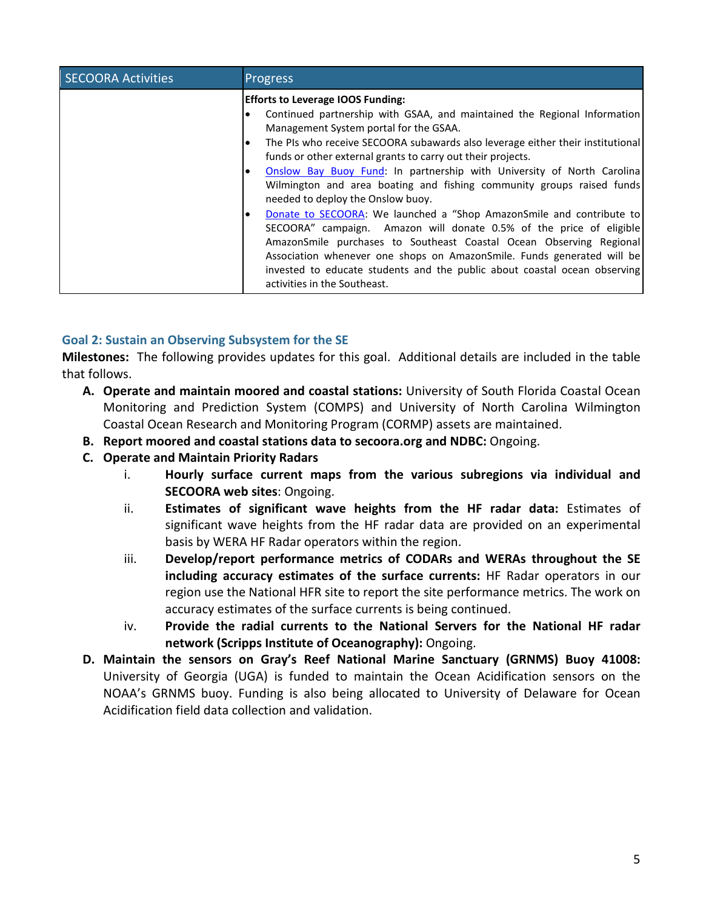| <b>SECOORA Activities</b> | Progress                                                                                                                                                                                                                                                                                                                                                                                                                                                                                                                                                                                                                                                                                                                                                                                                                                                                                                                   |
|---------------------------|----------------------------------------------------------------------------------------------------------------------------------------------------------------------------------------------------------------------------------------------------------------------------------------------------------------------------------------------------------------------------------------------------------------------------------------------------------------------------------------------------------------------------------------------------------------------------------------------------------------------------------------------------------------------------------------------------------------------------------------------------------------------------------------------------------------------------------------------------------------------------------------------------------------------------|
|                           | <b>Efforts to Leverage IOOS Funding:</b><br>Continued partnership with GSAA, and maintained the Regional Information<br>Management System portal for the GSAA.<br>The PIs who receive SECOORA subawards also leverage either their institutional<br>le<br>funds or other external grants to carry out their projects.<br>Onslow Bay Buoy Fund: In partnership with University of North Carolina<br>Wilmington and area boating and fishing community groups raised funds<br>needed to deploy the Onslow buoy.<br>Donate to SECOORA: We launched a "Shop AmazonSmile and contribute to<br>SECOORA" campaign. Amazon will donate 0.5% of the price of eligible<br>AmazonSmile purchases to Southeast Coastal Ocean Observing Regional<br>Association whenever one shops on AmazonSmile. Funds generated will be<br>invested to educate students and the public about coastal ocean observing<br>activities in the Southeast. |

# **Goal 2: Sustain an Observing Subsystem for the SE**

**Milestones:** The following provides updates for this goal. Additional details are included in the table that follows.

- **A. Operate and maintain moored and coastal stations:** University of South Florida Coastal Ocean Monitoring and Prediction System (COMPS) and University of North Carolina Wilmington Coastal Ocean Research and Monitoring Program (CORMP) assets are maintained.
- **B. Report moored and coastal stations data to secoora.org and NDBC:** Ongoing.
- **C. Operate and Maintain Priority Radars**
	- i. **Hourly surface current maps from the various subregions via individual and SECOORA web sites**: Ongoing.
	- ii. **Estimates of significant wave heights from the HF radar data:** Estimates of significant wave heights from the HF radar data are provided on an experimental basis by WERA HF Radar operators within the region.
	- iii. **Develop/report performance metrics of CODARs and WERAs throughout the SE including accuracy estimates of the surface currents:** HF Radar operators in our region use the National HFR site to report the site performance metrics. The work on accuracy estimates of the surface currents is being continued.
	- iv. **Provide the radial currents to the National Servers for the National HF radar network (Scripps Institute of Oceanography):** Ongoing.
- **D. Maintain the sensors on Gray's Reef National Marine Sanctuary (GRNMS) Buoy 41008:** University of Georgia (UGA) is funded to maintain the Ocean Acidification sensors on the NOAA's GRNMS buoy. Funding is also being allocated to University of Delaware for Ocean Acidification field data collection and validation.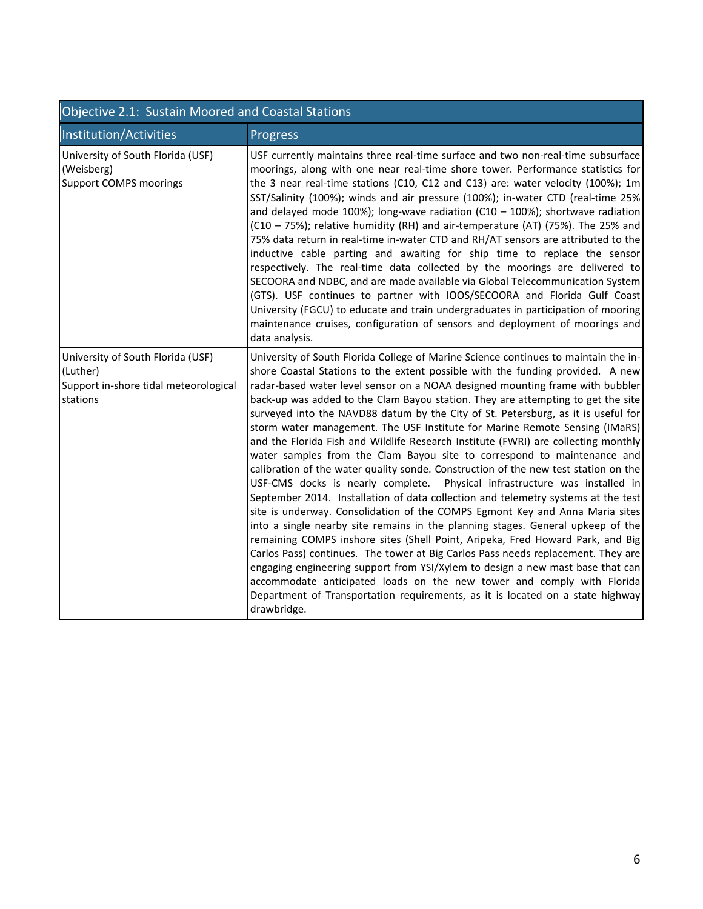| Objective 2.1: Sustain Moored and Coastal Stations                                                 |                                                                                                                                                                                                                                                                                                                                                                                                                                                                                                                                                                                                                                                                                                                                                                                                                                                                                                                                                                                                                                                                                                                                                                                                                                                                                                                                                                                                                                                                                                                                                 |  |
|----------------------------------------------------------------------------------------------------|-------------------------------------------------------------------------------------------------------------------------------------------------------------------------------------------------------------------------------------------------------------------------------------------------------------------------------------------------------------------------------------------------------------------------------------------------------------------------------------------------------------------------------------------------------------------------------------------------------------------------------------------------------------------------------------------------------------------------------------------------------------------------------------------------------------------------------------------------------------------------------------------------------------------------------------------------------------------------------------------------------------------------------------------------------------------------------------------------------------------------------------------------------------------------------------------------------------------------------------------------------------------------------------------------------------------------------------------------------------------------------------------------------------------------------------------------------------------------------------------------------------------------------------------------|--|
| Institution/Activities                                                                             | <b>Progress</b>                                                                                                                                                                                                                                                                                                                                                                                                                                                                                                                                                                                                                                                                                                                                                                                                                                                                                                                                                                                                                                                                                                                                                                                                                                                                                                                                                                                                                                                                                                                                 |  |
| University of South Florida (USF)<br>(Weisberg)<br><b>Support COMPS moorings</b>                   | USF currently maintains three real-time surface and two non-real-time subsurface<br>moorings, along with one near real-time shore tower. Performance statistics for<br>the 3 near real-time stations (C10, C12 and C13) are: water velocity (100%); 1m<br>SST/Salinity (100%); winds and air pressure (100%); in-water CTD (real-time 25%<br>and delayed mode 100%); long-wave radiation $(C10 - 100%)$ ; shortwave radiation<br>(C10 - 75%); relative humidity (RH) and air-temperature (AT) (75%). The 25% and<br>75% data return in real-time in-water CTD and RH/AT sensors are attributed to the<br>inductive cable parting and awaiting for ship time to replace the sensor<br>respectively. The real-time data collected by the moorings are delivered to<br>SECOORA and NDBC, and are made available via Global Telecommunication System<br>(GTS). USF continues to partner with IOOS/SECOORA and Florida Gulf Coast<br>University (FGCU) to educate and train undergraduates in participation of mooring<br>maintenance cruises, configuration of sensors and deployment of moorings and<br>data analysis.                                                                                                                                                                                                                                                                                                                                                                                                                             |  |
| University of South Florida (USF)<br>(Luther)<br>Support in-shore tidal meteorological<br>stations | University of South Florida College of Marine Science continues to maintain the in-<br>shore Coastal Stations to the extent possible with the funding provided. A new<br>radar-based water level sensor on a NOAA designed mounting frame with bubbler<br>back-up was added to the Clam Bayou station. They are attempting to get the site<br>surveyed into the NAVD88 datum by the City of St. Petersburg, as it is useful for<br>storm water management. The USF Institute for Marine Remote Sensing (IMaRS)<br>and the Florida Fish and Wildlife Research Institute (FWRI) are collecting monthly<br>water samples from the Clam Bayou site to correspond to maintenance and<br>calibration of the water quality sonde. Construction of the new test station on the<br>USF-CMS docks is nearly complete. Physical infrastructure was installed in<br>September 2014. Installation of data collection and telemetry systems at the test<br>site is underway. Consolidation of the COMPS Egmont Key and Anna Maria sites<br>into a single nearby site remains in the planning stages. General upkeep of the<br>remaining COMPS inshore sites (Shell Point, Aripeka, Fred Howard Park, and Big<br>Carlos Pass) continues. The tower at Big Carlos Pass needs replacement. They are<br>engaging engineering support from YSI/Xylem to design a new mast base that can<br>accommodate anticipated loads on the new tower and comply with Florida<br>Department of Transportation requirements, as it is located on a state highway<br>drawbridge. |  |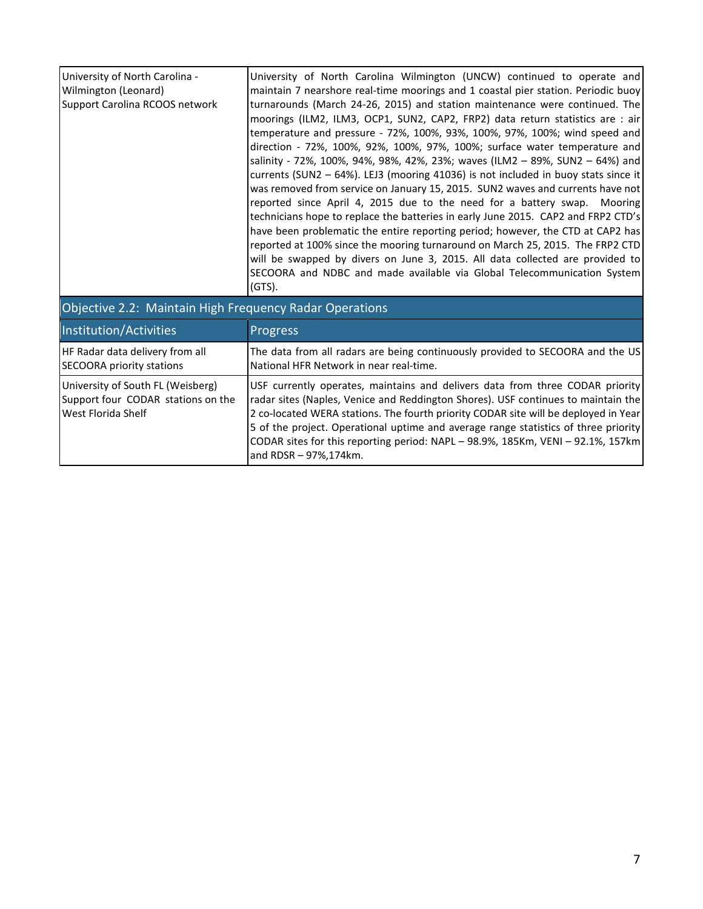| University of North Carolina -<br>Wilmington (Leonard)<br>Support Carolina RCOOS network      | University of North Carolina Wilmington (UNCW) continued to operate and<br>maintain 7 nearshore real-time moorings and 1 coastal pier station. Periodic buoy<br>turnarounds (March 24-26, 2015) and station maintenance were continued. The<br>moorings (ILM2, ILM3, OCP1, SUN2, CAP2, FRP2) data return statistics are : air<br>temperature and pressure - 72%, 100%, 93%, 100%, 97%, 100%; wind speed and<br>direction - 72%, 100%, 92%, 100%, 97%, 100%; surface water temperature and<br>salinity - 72%, 100%, 94%, 98%, 42%, 23%; waves (ILM2 - 89%, SUN2 - 64%) and<br>currents (SUN2 - 64%). LEJ3 (mooring 41036) is not included in buoy stats since it<br>was removed from service on January 15, 2015. SUN2 waves and currents have not<br>reported since April 4, 2015 due to the need for a battery swap. Mooring<br>technicians hope to replace the batteries in early June 2015. CAP2 and FRP2 CTD's<br>have been problematic the entire reporting period; however, the CTD at CAP2 has<br>reported at 100% since the mooring turnaround on March 25, 2015. The FRP2 CTD<br>will be swapped by divers on June 3, 2015. All data collected are provided to<br>SECOORA and NDBC and made available via Global Telecommunication System<br>$(GTS)$ . |
|-----------------------------------------------------------------------------------------------|-----------------------------------------------------------------------------------------------------------------------------------------------------------------------------------------------------------------------------------------------------------------------------------------------------------------------------------------------------------------------------------------------------------------------------------------------------------------------------------------------------------------------------------------------------------------------------------------------------------------------------------------------------------------------------------------------------------------------------------------------------------------------------------------------------------------------------------------------------------------------------------------------------------------------------------------------------------------------------------------------------------------------------------------------------------------------------------------------------------------------------------------------------------------------------------------------------------------------------------------------------------------|
| Objective 2.2: Maintain High Frequency Radar Operations                                       |                                                                                                                                                                                                                                                                                                                                                                                                                                                                                                                                                                                                                                                                                                                                                                                                                                                                                                                                                                                                                                                                                                                                                                                                                                                                 |
| Institution/Activities                                                                        | Progress                                                                                                                                                                                                                                                                                                                                                                                                                                                                                                                                                                                                                                                                                                                                                                                                                                                                                                                                                                                                                                                                                                                                                                                                                                                        |
| HF Radar data delivery from all<br><b>SECOORA priority stations</b>                           | The data from all radars are being continuously provided to SECOORA and the US<br>National HFR Network in near real-time.                                                                                                                                                                                                                                                                                                                                                                                                                                                                                                                                                                                                                                                                                                                                                                                                                                                                                                                                                                                                                                                                                                                                       |
| University of South FL (Weisberg)<br>Support four CODAR stations on the<br>West Florida Shelf | USF currently operates, maintains and delivers data from three CODAR priority<br>radar sites (Naples, Venice and Reddington Shores). USF continues to maintain the<br>2 co-located WERA stations. The fourth priority CODAR site will be deployed in Year<br>5 of the project. Operational uptime and average range statistics of three priority<br>CODAR sites for this reporting period: NAPL - 98.9%, 185Km, VENI - 92.1%, 157km<br>and RDSR - 97%, 174km.                                                                                                                                                                                                                                                                                                                                                                                                                                                                                                                                                                                                                                                                                                                                                                                                   |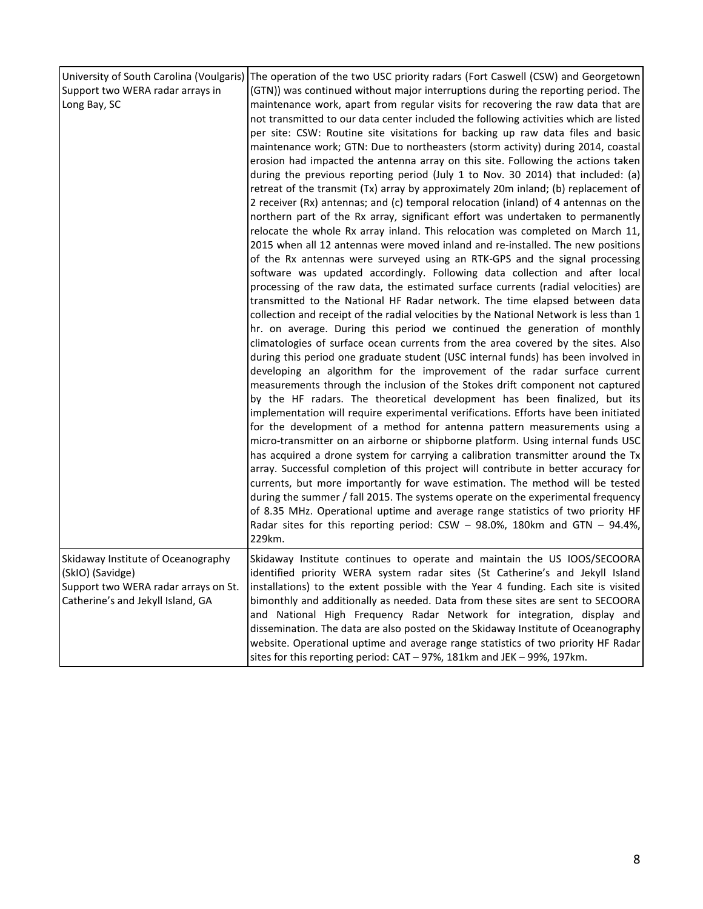| Support two WERA radar arrays in<br>Long Bay, SC                                                                                    | University of South Carolina (Voulgaris) The operation of the two USC priority radars (Fort Caswell (CSW) and Georgetown<br>(GTN)) was continued without major interruptions during the reporting period. The<br>maintenance work, apart from regular visits for recovering the raw data that are<br>not transmitted to our data center included the following activities which are listed<br>per site: CSW: Routine site visitations for backing up raw data files and basic<br>maintenance work; GTN: Due to northeasters (storm activity) during 2014, coastal<br>erosion had impacted the antenna array on this site. Following the actions taken<br>during the previous reporting period (July 1 to Nov. 30 2014) that included: (a)<br>retreat of the transmit (Tx) array by approximately 20m inland; (b) replacement of<br>2 receiver (Rx) antennas; and (c) temporal relocation (inland) of 4 antennas on the<br>northern part of the Rx array, significant effort was undertaken to permanently<br>relocate the whole Rx array inland. This relocation was completed on March 11,<br>2015 when all 12 antennas were moved inland and re-installed. The new positions<br>of the Rx antennas were surveyed using an RTK-GPS and the signal processing<br>software was updated accordingly. Following data collection and after local<br>processing of the raw data, the estimated surface currents (radial velocities) are<br>transmitted to the National HF Radar network. The time elapsed between data<br>collection and receipt of the radial velocities by the National Network is less than 1<br>hr. on average. During this period we continued the generation of monthly<br>climatologies of surface ocean currents from the area covered by the sites. Also<br>during this period one graduate student (USC internal funds) has been involved in<br>developing an algorithm for the improvement of the radar surface current<br>measurements through the inclusion of the Stokes drift component not captured<br>by the HF radars. The theoretical development has been finalized, but its<br>implementation will require experimental verifications. Efforts have been initiated<br>for the development of a method for antenna pattern measurements using a<br>micro-transmitter on an airborne or shipborne platform. Using internal funds USC<br>has acquired a drone system for carrying a calibration transmitter around the Tx<br>array. Successful completion of this project will contribute in better accuracy for<br>currents, but more importantly for wave estimation. The method will be tested<br>during the summer / fall 2015. The systems operate on the experimental frequency<br>of 8.35 MHz. Operational uptime and average range statistics of two priority HF<br>Radar sites for this reporting period: $CSW - 98.0\%$ , 180km and GTN - 94.4%, |
|-------------------------------------------------------------------------------------------------------------------------------------|-----------------------------------------------------------------------------------------------------------------------------------------------------------------------------------------------------------------------------------------------------------------------------------------------------------------------------------------------------------------------------------------------------------------------------------------------------------------------------------------------------------------------------------------------------------------------------------------------------------------------------------------------------------------------------------------------------------------------------------------------------------------------------------------------------------------------------------------------------------------------------------------------------------------------------------------------------------------------------------------------------------------------------------------------------------------------------------------------------------------------------------------------------------------------------------------------------------------------------------------------------------------------------------------------------------------------------------------------------------------------------------------------------------------------------------------------------------------------------------------------------------------------------------------------------------------------------------------------------------------------------------------------------------------------------------------------------------------------------------------------------------------------------------------------------------------------------------------------------------------------------------------------------------------------------------------------------------------------------------------------------------------------------------------------------------------------------------------------------------------------------------------------------------------------------------------------------------------------------------------------------------------------------------------------------------------------------------------------------------------------------------------------------------------------------------------------------------------------------------------------------------------------------------------------------------------------------------------------------------------------------------------------------------------------------------------------------------------------------------------------------------------------------------------------------------------------------------------------------------------------------------------|
|                                                                                                                                     | 229km.                                                                                                                                                                                                                                                                                                                                                                                                                                                                                                                                                                                                                                                                                                                                                                                                                                                                                                                                                                                                                                                                                                                                                                                                                                                                                                                                                                                                                                                                                                                                                                                                                                                                                                                                                                                                                                                                                                                                                                                                                                                                                                                                                                                                                                                                                                                                                                                                                                                                                                                                                                                                                                                                                                                                                                                                                                                                                  |
| Skidaway Institute of Oceanography<br>(SkIO) (Savidge)<br>Support two WERA radar arrays on St.<br>Catherine's and Jekyll Island, GA | Skidaway Institute continues to operate and maintain the US IOOS/SECOORA<br>identified priority WERA system radar sites (St Catherine's and Jekyll Island<br>installations) to the extent possible with the Year 4 funding. Each site is visited<br>bimonthly and additionally as needed. Data from these sites are sent to SECOORA<br>and National High Frequency Radar Network for integration, display and<br>dissemination. The data are also posted on the Skidaway Institute of Oceanography<br>website. Operational uptime and average range statistics of two priority HF Radar<br>sites for this reporting period: CAT - 97%, 181km and JEK - 99%, 197km.                                                                                                                                                                                                                                                                                                                                                                                                                                                                                                                                                                                                                                                                                                                                                                                                                                                                                                                                                                                                                                                                                                                                                                                                                                                                                                                                                                                                                                                                                                                                                                                                                                                                                                                                                                                                                                                                                                                                                                                                                                                                                                                                                                                                                      |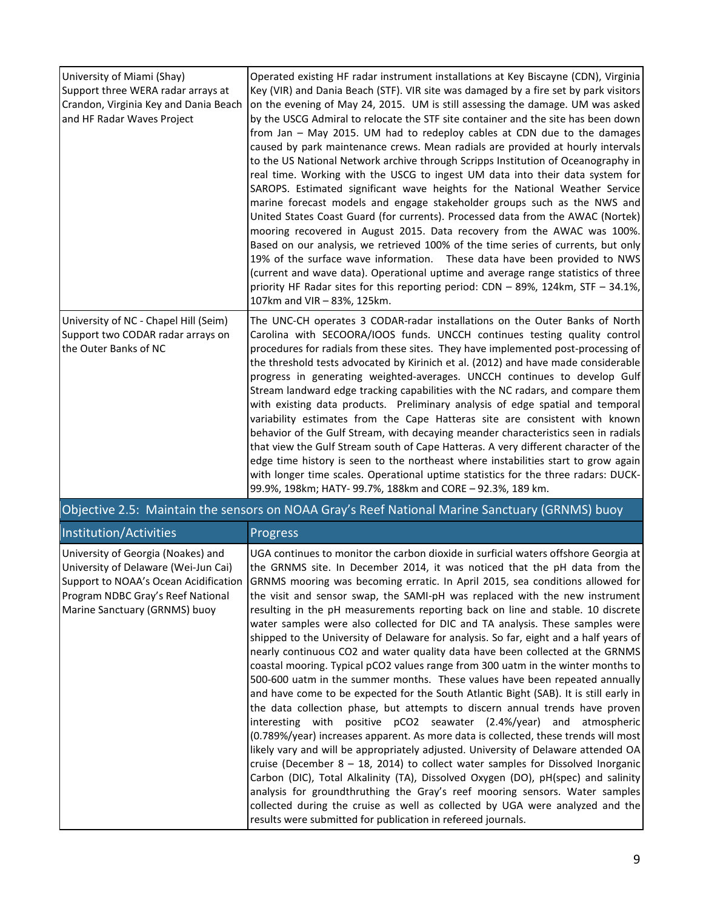| University of Miami (Shay)                                                                                | Operated existing HF radar instrument installations at Key Biscayne (CDN), Virginia                                                                                                                                                                                                                                                                                                                                                                                                                                                                                                                                                                                                                                                                                                                                                                                                                                                                                                                                                                                                                                                                                                                                                                                                                  |
|-----------------------------------------------------------------------------------------------------------|------------------------------------------------------------------------------------------------------------------------------------------------------------------------------------------------------------------------------------------------------------------------------------------------------------------------------------------------------------------------------------------------------------------------------------------------------------------------------------------------------------------------------------------------------------------------------------------------------------------------------------------------------------------------------------------------------------------------------------------------------------------------------------------------------------------------------------------------------------------------------------------------------------------------------------------------------------------------------------------------------------------------------------------------------------------------------------------------------------------------------------------------------------------------------------------------------------------------------------------------------------------------------------------------------|
| Support three WERA radar arrays at<br>Crandon, Virginia Key and Dania Beach<br>and HF Radar Waves Project | Key (VIR) and Dania Beach (STF). VIR site was damaged by a fire set by park visitors<br>on the evening of May 24, 2015. UM is still assessing the damage. UM was asked<br>by the USCG Admiral to relocate the STF site container and the site has been down<br>from Jan - May 2015. UM had to redeploy cables at CDN due to the damages<br>caused by park maintenance crews. Mean radials are provided at hourly intervals<br>to the US National Network archive through Scripps Institution of Oceanography in<br>real time. Working with the USCG to ingest UM data into their data system for<br>SAROPS. Estimated significant wave heights for the National Weather Service<br>marine forecast models and engage stakeholder groups such as the NWS and<br>United States Coast Guard (for currents). Processed data from the AWAC (Nortek)<br>mooring recovered in August 2015. Data recovery from the AWAC was 100%.<br>Based on our analysis, we retrieved 100% of the time series of currents, but only<br>19% of the surface wave information. These data have been provided to NWS<br>(current and wave data). Operational uptime and average range statistics of three<br>priority HF Radar sites for this reporting period: CDN – 89%, 124km, STF – 34.1%,<br>107km and VIR - 83%, 125km. |
| University of NC - Chapel Hill (Seim)<br>Support two CODAR radar arrays on<br>the Outer Banks of NC       | The UNC-CH operates 3 CODAR-radar installations on the Outer Banks of North<br>Carolina with SECOORA/IOOS funds. UNCCH continues testing quality control<br>procedures for radials from these sites. They have implemented post-processing of<br>the threshold tests advocated by Kirinich et al. (2012) and have made considerable<br>progress in generating weighted-averages. UNCCH continues to develop Gulf<br>Stream landward edge tracking capabilities with the NC radars, and compare them<br>with existing data products. Preliminary analysis of edge spatial and temporal<br>variability estimates from the Cape Hatteras site are consistent with known<br>behavior of the Gulf Stream, with decaying meander characteristics seen in radials<br>that view the Gulf Stream south of Cape Hatteras. A very different character of the<br>edge time history is seen to the northeast where instabilities start to grow again<br>with longer time scales. Operational uptime statistics for the three radars: DUCK-<br>99.9%, 198km; HATY- 99.7%, 188km and CORE - 92.3%, 189 km.                                                                                                                                                                                                          |

| Objective 2.5: Maintain the sensors on NOAA Gray's Reef National Marine Sanctuary (GRNMS) buoy                                                                                            |                                                                                                                                                                                                                                                                                                                                                                                                                                                                                                                                                                                                                                                                                                                                                                                                                                                                                                                                                                                                                                                                                                                                                                                                                                                                                                                                                                                                                                                                                                                                                                                                                                                                                               |  |
|-------------------------------------------------------------------------------------------------------------------------------------------------------------------------------------------|-----------------------------------------------------------------------------------------------------------------------------------------------------------------------------------------------------------------------------------------------------------------------------------------------------------------------------------------------------------------------------------------------------------------------------------------------------------------------------------------------------------------------------------------------------------------------------------------------------------------------------------------------------------------------------------------------------------------------------------------------------------------------------------------------------------------------------------------------------------------------------------------------------------------------------------------------------------------------------------------------------------------------------------------------------------------------------------------------------------------------------------------------------------------------------------------------------------------------------------------------------------------------------------------------------------------------------------------------------------------------------------------------------------------------------------------------------------------------------------------------------------------------------------------------------------------------------------------------------------------------------------------------------------------------------------------------|--|
| Institution/Activities                                                                                                                                                                    | Progress                                                                                                                                                                                                                                                                                                                                                                                                                                                                                                                                                                                                                                                                                                                                                                                                                                                                                                                                                                                                                                                                                                                                                                                                                                                                                                                                                                                                                                                                                                                                                                                                                                                                                      |  |
| University of Georgia (Noakes) and<br>University of Delaware (Wei-Jun Cai)<br>Support to NOAA's Ocean Acidification<br>Program NDBC Gray's Reef National<br>Marine Sanctuary (GRNMS) buoy | UGA continues to monitor the carbon dioxide in surficial waters offshore Georgia at<br>the GRNMS site. In December 2014, it was noticed that the pH data from the<br>GRNMS mooring was becoming erratic. In April 2015, sea conditions allowed for<br>the visit and sensor swap, the SAMI-pH was replaced with the new instrument<br>resulting in the pH measurements reporting back on line and stable. 10 discrete<br>water samples were also collected for DIC and TA analysis. These samples were<br>shipped to the University of Delaware for analysis. So far, eight and a half years of<br>nearly continuous CO2 and water quality data have been collected at the GRNMS<br>coastal mooring. Typical pCO2 values range from 300 uatm in the winter months to<br>500-600 uatm in the summer months. These values have been repeated annually<br>and have come to be expected for the South Atlantic Bight (SAB). It is still early in<br>the data collection phase, but attempts to discern annual trends have proven<br>interesting with positive pCO2 seawater (2.4%/year) and atmospheric<br>$(0.789\%/year)$ increases apparent. As more data is collected, these trends will most<br>likely vary and will be appropriately adjusted. University of Delaware attended OA<br>cruise (December $8 - 18$ , 2014) to collect water samples for Dissolved Inorganic<br>Carbon (DIC), Total Alkalinity (TA), Dissolved Oxygen (DO), pH(spec) and salinity<br>analysis for groundthruthing the Gray's reef mooring sensors. Water samples<br>collected during the cruise as well as collected by UGA were analyzed and the<br>results were submitted for publication in refereed journals. |  |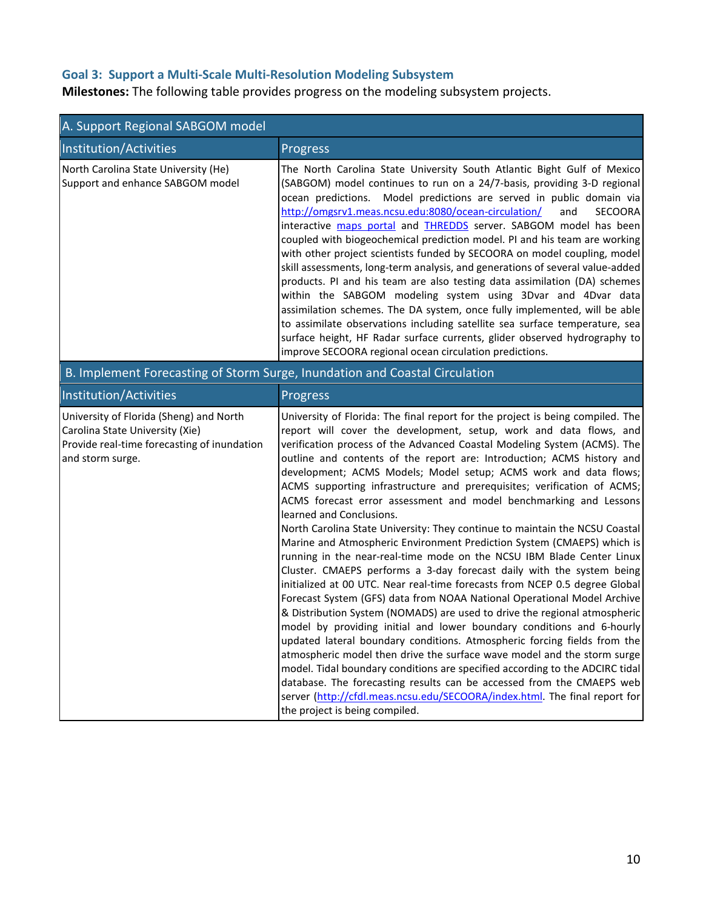# **Goal 3: Support a Multi-Scale Multi-Resolution Modeling Subsystem**

**Milestones:** The following table provides progress on the modeling subsystem projects.

| A. Support Regional SABGOM model                                                                                                              |                                                                                                                                                                                                                                                                                                                                                                                                                                                                                                                                                                                                                                                                                                                                                                                                                                                                                                                                                                                                                                                                                                                                                                                                                                                                                                                                                                                                                                                                                                                                                                                                                       |  |
|-----------------------------------------------------------------------------------------------------------------------------------------------|-----------------------------------------------------------------------------------------------------------------------------------------------------------------------------------------------------------------------------------------------------------------------------------------------------------------------------------------------------------------------------------------------------------------------------------------------------------------------------------------------------------------------------------------------------------------------------------------------------------------------------------------------------------------------------------------------------------------------------------------------------------------------------------------------------------------------------------------------------------------------------------------------------------------------------------------------------------------------------------------------------------------------------------------------------------------------------------------------------------------------------------------------------------------------------------------------------------------------------------------------------------------------------------------------------------------------------------------------------------------------------------------------------------------------------------------------------------------------------------------------------------------------------------------------------------------------------------------------------------------------|--|
| Institution/Activities                                                                                                                        | Progress                                                                                                                                                                                                                                                                                                                                                                                                                                                                                                                                                                                                                                                                                                                                                                                                                                                                                                                                                                                                                                                                                                                                                                                                                                                                                                                                                                                                                                                                                                                                                                                                              |  |
| North Carolina State University (He)<br>Support and enhance SABGOM model                                                                      | The North Carolina State University South Atlantic Bight Gulf of Mexico<br>(SABGOM) model continues to run on a 24/7-basis, providing 3-D regional<br>Model predictions are served in public domain via<br>ocean predictions.<br>http://omgsrv1.meas.ncsu.edu:8080/ocean-circulation/<br><b>SECOORA</b><br>and<br>interactive maps portal and <b>THREDDS</b> server. SABGOM model has been<br>coupled with biogeochemical prediction model. PI and his team are working<br>with other project scientists funded by SECOORA on model coupling, model<br>skill assessments, long-term analysis, and generations of several value-added<br>products. PI and his team are also testing data assimilation (DA) schemes<br>within the SABGOM modeling system using 3Dvar and 4Dvar data<br>assimilation schemes. The DA system, once fully implemented, will be able<br>to assimilate observations including satellite sea surface temperature, sea<br>surface height, HF Radar surface currents, glider observed hydrography to<br>improve SECOORA regional ocean circulation predictions.                                                                                                                                                                                                                                                                                                                                                                                                                                                                                                                                 |  |
|                                                                                                                                               | B. Implement Forecasting of Storm Surge, Inundation and Coastal Circulation                                                                                                                                                                                                                                                                                                                                                                                                                                                                                                                                                                                                                                                                                                                                                                                                                                                                                                                                                                                                                                                                                                                                                                                                                                                                                                                                                                                                                                                                                                                                           |  |
| Institution/Activities                                                                                                                        | Progress                                                                                                                                                                                                                                                                                                                                                                                                                                                                                                                                                                                                                                                                                                                                                                                                                                                                                                                                                                                                                                                                                                                                                                                                                                                                                                                                                                                                                                                                                                                                                                                                              |  |
| University of Florida (Sheng) and North<br>Carolina State University (Xie)<br>Provide real-time forecasting of inundation<br>and storm surge. | University of Florida: The final report for the project is being compiled. The<br>report will cover the development, setup, work and data flows, and<br>verification process of the Advanced Coastal Modeling System (ACMS). The<br>outline and contents of the report are: Introduction; ACMS history and<br>development; ACMS Models; Model setup; ACMS work and data flows;<br>ACMS supporting infrastructure and prerequisites; verification of ACMS;<br>ACMS forecast error assessment and model benchmarking and Lessons<br>learned and Conclusions.<br>North Carolina State University: They continue to maintain the NCSU Coastal<br>Marine and Atmospheric Environment Prediction System (CMAEPS) which is<br>running in the near-real-time mode on the NCSU IBM Blade Center Linux<br>Cluster. CMAEPS performs a 3-day forecast daily with the system being<br>initialized at 00 UTC. Near real-time forecasts from NCEP 0.5 degree Global<br>Forecast System (GFS) data from NOAA National Operational Model Archive<br>& Distribution System (NOMADS) are used to drive the regional atmospheric<br>model by providing initial and lower boundary conditions and 6-hourly<br>updated lateral boundary conditions. Atmospheric forcing fields from the<br>atmospheric model then drive the surface wave model and the storm surge<br>model. Tidal boundary conditions are specified according to the ADCIRC tidal<br>database. The forecasting results can be accessed from the CMAEPS web<br>server (http://cfdl.meas.ncsu.edu/SECOORA/index.html. The final report for<br>the project is being compiled. |  |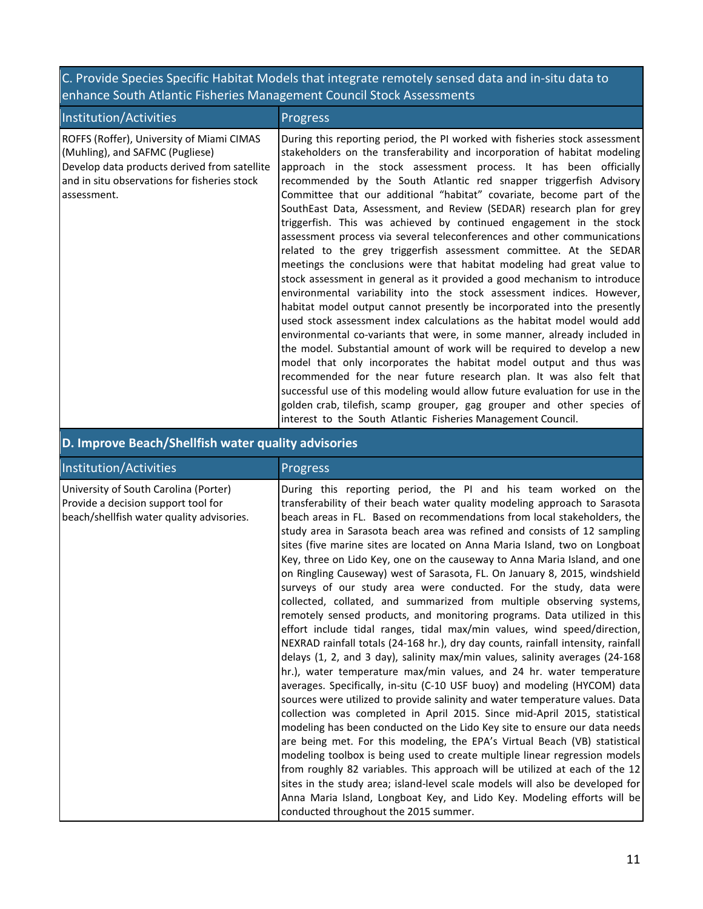# C. Provide Species Specific Habitat Models that integrate remotely sensed data and in-situ data to enhance South Atlantic Fisheries Management Council Stock Assessments

| Institution/Activities                                                                                                                                                                      | <b>Progress</b>                                                                                                                                                                                                                                                                                                                                                                                                                                                                                                                                                                                                                                                                                                                                                                                                                                                                                                                                                                                                                                                                                                                                                                                                                                                                                                                                                                                                                                                                                                                                                                                   |
|---------------------------------------------------------------------------------------------------------------------------------------------------------------------------------------------|---------------------------------------------------------------------------------------------------------------------------------------------------------------------------------------------------------------------------------------------------------------------------------------------------------------------------------------------------------------------------------------------------------------------------------------------------------------------------------------------------------------------------------------------------------------------------------------------------------------------------------------------------------------------------------------------------------------------------------------------------------------------------------------------------------------------------------------------------------------------------------------------------------------------------------------------------------------------------------------------------------------------------------------------------------------------------------------------------------------------------------------------------------------------------------------------------------------------------------------------------------------------------------------------------------------------------------------------------------------------------------------------------------------------------------------------------------------------------------------------------------------------------------------------------------------------------------------------------|
| ROFFS (Roffer), University of Miami CIMAS<br>(Muhling), and SAFMC (Pugliese)<br>Develop data products derived from satellite<br>and in situ observations for fisheries stock<br>assessment. | During this reporting period, the PI worked with fisheries stock assessment<br>stakeholders on the transferability and incorporation of habitat modeling<br>approach in the stock assessment process. It has been officially<br>recommended by the South Atlantic red snapper triggerfish Advisory<br>Committee that our additional "habitat" covariate, become part of the<br>SouthEast Data, Assessment, and Review (SEDAR) research plan for grey<br>triggerfish. This was achieved by continued engagement in the stock<br>assessment process via several teleconferences and other communications<br>related to the grey triggerfish assessment committee. At the SEDAR<br>meetings the conclusions were that habitat modeling had great value to<br>stock assessment in general as it provided a good mechanism to introduce<br>environmental variability into the stock assessment indices. However,<br>habitat model output cannot presently be incorporated into the presently<br>used stock assessment index calculations as the habitat model would add<br>environmental co-variants that were, in some manner, already included in<br>the model. Substantial amount of work will be required to develop a new<br>model that only incorporates the habitat model output and thus was<br>recommended for the near future research plan. It was also felt that<br>successful use of this modeling would allow future evaluation for use in the<br>golden crab, tilefish, scamp grouper, gag grouper and other species of<br>interest to the South Atlantic Fisheries Management Council. |

# **D. Improve Beach/Shellfish water quality advisories**

| Institution/Activities                                                                                                    | <b>Progress</b>                                                                                                                                                                                                                                                                                                                                                                                                                                                                                                                                                                                                                                                                                                                                                                                                                                                                                                                                                                                                                                                                                                                                                                                                                                                                                                                                                                                                                                                                                                                                                                                                                                                                                                                                                                                                                                                            |
|---------------------------------------------------------------------------------------------------------------------------|----------------------------------------------------------------------------------------------------------------------------------------------------------------------------------------------------------------------------------------------------------------------------------------------------------------------------------------------------------------------------------------------------------------------------------------------------------------------------------------------------------------------------------------------------------------------------------------------------------------------------------------------------------------------------------------------------------------------------------------------------------------------------------------------------------------------------------------------------------------------------------------------------------------------------------------------------------------------------------------------------------------------------------------------------------------------------------------------------------------------------------------------------------------------------------------------------------------------------------------------------------------------------------------------------------------------------------------------------------------------------------------------------------------------------------------------------------------------------------------------------------------------------------------------------------------------------------------------------------------------------------------------------------------------------------------------------------------------------------------------------------------------------------------------------------------------------------------------------------------------------|
| University of South Carolina (Porter)<br>Provide a decision support tool for<br>beach/shellfish water quality advisories. | During this reporting period, the PI and his team worked on the<br>transferability of their beach water quality modeling approach to Sarasota<br>beach areas in FL. Based on recommendations from local stakeholders, the<br>study area in Sarasota beach area was refined and consists of 12 sampling<br>sites (five marine sites are located on Anna Maria Island, two on Longboat<br>Key, three on Lido Key, one on the causeway to Anna Maria Island, and one<br>on Ringling Causeway) west of Sarasota, FL. On January 8, 2015, windshield<br>surveys of our study area were conducted. For the study, data were<br>collected, collated, and summarized from multiple observing systems,<br>remotely sensed products, and monitoring programs. Data utilized in this<br>effort include tidal ranges, tidal max/min values, wind speed/direction,<br>NEXRAD rainfall totals (24-168 hr.), dry day counts, rainfall intensity, rainfall<br>delays (1, 2, and 3 day), salinity max/min values, salinity averages (24-168)<br>hr.), water temperature max/min values, and 24 hr. water temperature<br>averages. Specifically, in-situ (C-10 USF buoy) and modeling (HYCOM) data<br>sources were utilized to provide salinity and water temperature values. Data<br>collection was completed in April 2015. Since mid-April 2015, statistical<br>modeling has been conducted on the Lido Key site to ensure our data needs<br>are being met. For this modeling, the EPA's Virtual Beach (VB) statistical<br>modeling toolbox is being used to create multiple linear regression models<br>from roughly 82 variables. This approach will be utilized at each of the 12<br>sites in the study area; island-level scale models will also be developed for<br>Anna Maria Island, Longboat Key, and Lido Key. Modeling efforts will be<br>conducted throughout the 2015 summer. |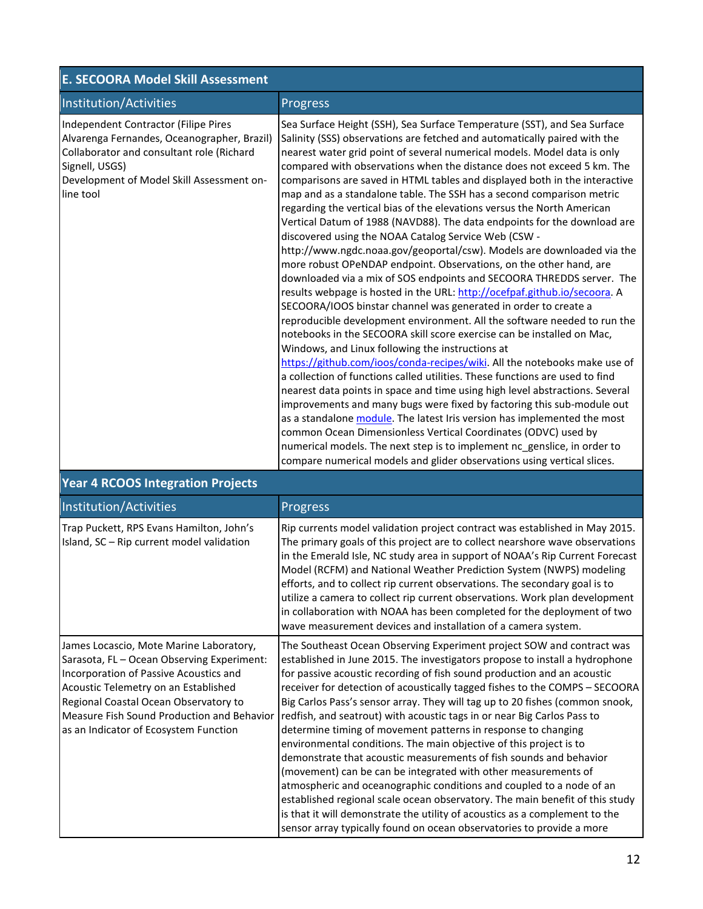| <b>E. SECOORA Model Skill Assessment</b>                                                                                                                                                                     |                                                                                                                                                                                                                                                                                                                                                                                                                                                                                                                                                                                                                                                                                                                                                                                                                                                                                                                                                                                                                                                                                                                                                                                                                                                                                                                                                                                                                                                                                                                                                                                                                                                                                                                                                                                                                                                                                                  |  |
|--------------------------------------------------------------------------------------------------------------------------------------------------------------------------------------------------------------|--------------------------------------------------------------------------------------------------------------------------------------------------------------------------------------------------------------------------------------------------------------------------------------------------------------------------------------------------------------------------------------------------------------------------------------------------------------------------------------------------------------------------------------------------------------------------------------------------------------------------------------------------------------------------------------------------------------------------------------------------------------------------------------------------------------------------------------------------------------------------------------------------------------------------------------------------------------------------------------------------------------------------------------------------------------------------------------------------------------------------------------------------------------------------------------------------------------------------------------------------------------------------------------------------------------------------------------------------------------------------------------------------------------------------------------------------------------------------------------------------------------------------------------------------------------------------------------------------------------------------------------------------------------------------------------------------------------------------------------------------------------------------------------------------------------------------------------------------------------------------------------------------|--|
| Institution/Activities                                                                                                                                                                                       | Progress                                                                                                                                                                                                                                                                                                                                                                                                                                                                                                                                                                                                                                                                                                                                                                                                                                                                                                                                                                                                                                                                                                                                                                                                                                                                                                                                                                                                                                                                                                                                                                                                                                                                                                                                                                                                                                                                                         |  |
| Independent Contractor (Filipe Pires<br>Alvarenga Fernandes, Oceanographer, Brazil)<br>Collaborator and consultant role (Richard<br>Signell, USGS)<br>Development of Model Skill Assessment on-<br>line tool | Sea Surface Height (SSH), Sea Surface Temperature (SST), and Sea Surface<br>Salinity (SSS) observations are fetched and automatically paired with the<br>nearest water grid point of several numerical models. Model data is only<br>compared with observations when the distance does not exceed 5 km. The<br>comparisons are saved in HTML tables and displayed both in the interactive<br>map and as a standalone table. The SSH has a second comparison metric<br>regarding the vertical bias of the elevations versus the North American<br>Vertical Datum of 1988 (NAVD88). The data endpoints for the download are<br>discovered using the NOAA Catalog Service Web (CSW -<br>http://www.ngdc.noaa.gov/geoportal/csw). Models are downloaded via the<br>more robust OPeNDAP endpoint. Observations, on the other hand, are<br>downloaded via a mix of SOS endpoints and SECOORA THREDDS server. The<br>results webpage is hosted in the URL: http://ocefpaf.github.io/secoora. A<br>SECOORA/IOOS binstar channel was generated in order to create a<br>reproducible development environment. All the software needed to run the<br>notebooks in the SECOORA skill score exercise can be installed on Mac,<br>Windows, and Linux following the instructions at<br>https://github.com/ioos/conda-recipes/wiki. All the notebooks make use of<br>a collection of functions called utilities. These functions are used to find<br>nearest data points in space and time using high level abstractions. Several<br>improvements and many bugs were fixed by factoring this sub-module out<br>as a standalone module. The latest Iris version has implemented the most<br>common Ocean Dimensionless Vertical Coordinates (ODVC) used by<br>numerical models. The next step is to implement nc_genslice, in order to<br>compare numerical models and glider observations using vertical slices. |  |

| Institution/Activities                                                                                                                                                                                                                                                                                  | Progress                                                                                                                                                                                                                                                                                                                                                                                                                                                                                                                                                                                                                                                                                                                                                                                                                                                                                                                                                                                                                                                                 |  |  |  |
|---------------------------------------------------------------------------------------------------------------------------------------------------------------------------------------------------------------------------------------------------------------------------------------------------------|--------------------------------------------------------------------------------------------------------------------------------------------------------------------------------------------------------------------------------------------------------------------------------------------------------------------------------------------------------------------------------------------------------------------------------------------------------------------------------------------------------------------------------------------------------------------------------------------------------------------------------------------------------------------------------------------------------------------------------------------------------------------------------------------------------------------------------------------------------------------------------------------------------------------------------------------------------------------------------------------------------------------------------------------------------------------------|--|--|--|
| Trap Puckett, RPS Evans Hamilton, John's<br>Island, SC - Rip current model validation                                                                                                                                                                                                                   | Rip currents model validation project contract was established in May 2015.<br>The primary goals of this project are to collect nearshore wave observations<br>in the Emerald Isle, NC study area in support of NOAA's Rip Current Forecast<br>Model (RCFM) and National Weather Prediction System (NWPS) modeling<br>efforts, and to collect rip current observations. The secondary goal is to<br>utilize a camera to collect rip current observations. Work plan development<br>in collaboration with NOAA has been completed for the deployment of two<br>wave measurement devices and installation of a camera system.                                                                                                                                                                                                                                                                                                                                                                                                                                              |  |  |  |
| James Locascio, Mote Marine Laboratory,<br>Sarasota, FL - Ocean Observing Experiment:<br>Incorporation of Passive Acoustics and<br>Acoustic Telemetry on an Established<br>Regional Coastal Ocean Observatory to<br>Measure Fish Sound Production and Behavior<br>as an Indicator of Ecosystem Function | The Southeast Ocean Observing Experiment project SOW and contract was<br>established in June 2015. The investigators propose to install a hydrophone<br>for passive acoustic recording of fish sound production and an acoustic<br>receiver for detection of acoustically tagged fishes to the COMPS - SECOORA<br>Big Carlos Pass's sensor array. They will tag up to 20 fishes (common snook,<br>redfish, and seatrout) with acoustic tags in or near Big Carlos Pass to<br>determine timing of movement patterns in response to changing<br>environmental conditions. The main objective of this project is to<br>demonstrate that acoustic measurements of fish sounds and behavior<br>(movement) can be can be integrated with other measurements of<br>atmospheric and oceanographic conditions and coupled to a node of an<br>established regional scale ocean observatory. The main benefit of this study<br>is that it will demonstrate the utility of acoustics as a complement to the<br>sensor array typically found on ocean observatories to provide a more |  |  |  |

# **Year 4 RCOOS Integration Projects**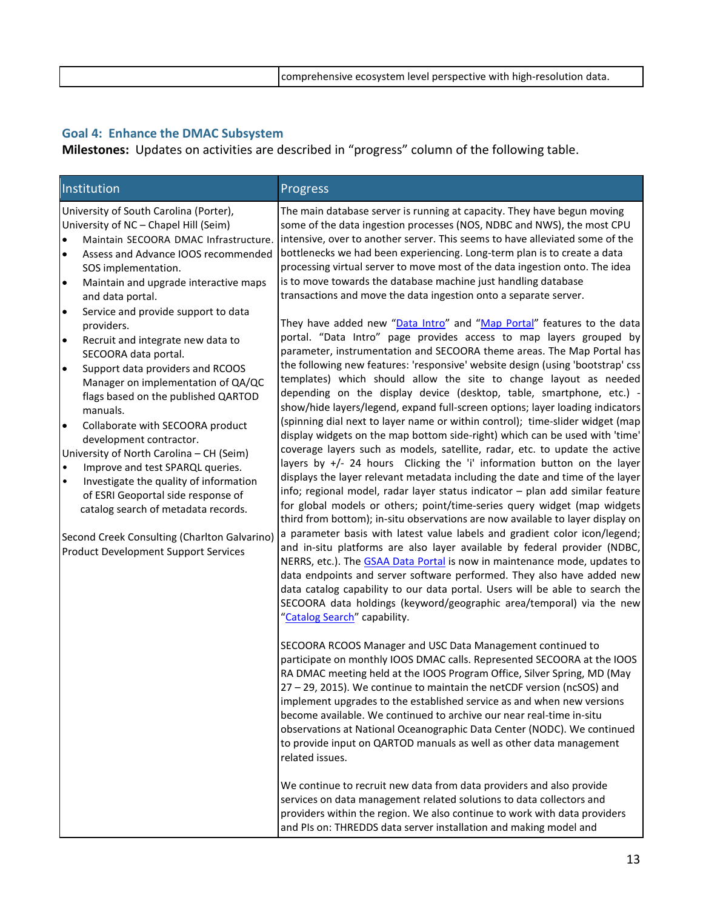# **Goal 4: Enhance the DMAC Subsystem**

**Milestones:** Updates on activities are described in "progress" column of the following table.

| Institution                                                                                                                                                                                                                                                                                                                                                                                                                                                                                                                                                                                                                                                                                                                                                                                                                                                                                                                                                                                  | Progress                                                                                                                                                                                                                                                                                                                                                                                                                                                                                                                                                                                                                                                                                                                                                                                                                                                                                                                                                                                                                                                                                                                                                                                                                                                                                                                                                                                                                                                                                                                                                                                                                                                                                                                                                                                                                                                                                                                                                                                                                                                                                                                                                                                                                                                                                                                                                                                                                                                             |
|----------------------------------------------------------------------------------------------------------------------------------------------------------------------------------------------------------------------------------------------------------------------------------------------------------------------------------------------------------------------------------------------------------------------------------------------------------------------------------------------------------------------------------------------------------------------------------------------------------------------------------------------------------------------------------------------------------------------------------------------------------------------------------------------------------------------------------------------------------------------------------------------------------------------------------------------------------------------------------------------|----------------------------------------------------------------------------------------------------------------------------------------------------------------------------------------------------------------------------------------------------------------------------------------------------------------------------------------------------------------------------------------------------------------------------------------------------------------------------------------------------------------------------------------------------------------------------------------------------------------------------------------------------------------------------------------------------------------------------------------------------------------------------------------------------------------------------------------------------------------------------------------------------------------------------------------------------------------------------------------------------------------------------------------------------------------------------------------------------------------------------------------------------------------------------------------------------------------------------------------------------------------------------------------------------------------------------------------------------------------------------------------------------------------------------------------------------------------------------------------------------------------------------------------------------------------------------------------------------------------------------------------------------------------------------------------------------------------------------------------------------------------------------------------------------------------------------------------------------------------------------------------------------------------------------------------------------------------------------------------------------------------------------------------------------------------------------------------------------------------------------------------------------------------------------------------------------------------------------------------------------------------------------------------------------------------------------------------------------------------------------------------------------------------------------------------------------------------------|
| University of South Carolina (Porter),<br>University of NC - Chapel Hill (Seim)<br>Maintain SECOORA DMAC Infrastructure.<br>$\bullet$<br>$\bullet$<br>Assess and Advance IOOS recommended<br>SOS implementation.<br>Maintain and upgrade interactive maps<br>$\bullet$<br>and data portal.<br>Service and provide support to data<br>$\bullet$<br>providers.<br>Recruit and integrate new data to<br>$\bullet$<br>SECOORA data portal.<br>Support data providers and RCOOS<br>$\bullet$<br>Manager on implementation of QA/QC<br>flags based on the published QARTOD<br>manuals.<br>Collaborate with SECOORA product<br>$\bullet$<br>development contractor.<br>University of North Carolina - CH (Seim)<br>Improve and test SPARQL queries.<br>$\bullet$<br>Investigate the quality of information<br>$\bullet$<br>of ESRI Geoportal side response of<br>catalog search of metadata records.<br>Second Creek Consulting (Charlton Galvarino)<br><b>Product Development Support Services</b> | The main database server is running at capacity. They have begun moving<br>some of the data ingestion processes (NOS, NDBC and NWS), the most CPU<br>intensive, over to another server. This seems to have alleviated some of the<br>bottlenecks we had been experiencing. Long-term plan is to create a data<br>processing virtual server to move most of the data ingestion onto. The idea<br>is to move towards the database machine just handling database<br>transactions and move the data ingestion onto a separate server.<br>They have added new "Data Intro" and "Map Portal" features to the data<br>portal. "Data Intro" page provides access to map layers grouped by<br>parameter, instrumentation and SECOORA theme areas. The Map Portal has<br>the following new features: 'responsive' website design (using 'bootstrap' css<br>templates) which should allow the site to change layout as needed<br>depending on the display device (desktop, table, smartphone, etc.) -<br>show/hide layers/legend, expand full-screen options; layer loading indicators<br>(spinning dial next to layer name or within control); time-slider widget (map<br>display widgets on the map bottom side-right) which can be used with 'time'<br>coverage layers such as models, satellite, radar, etc. to update the active<br>layers by +/- 24 hours Clicking the 'i' information button on the layer<br>displays the layer relevant metadata including the date and time of the layer<br>info; regional model, radar layer status indicator - plan add similar feature<br>for global models or others; point/time-series query widget (map widgets<br>third from bottom); in-situ observations are now available to layer display on<br>a parameter basis with latest value labels and gradient color icon/legend;<br>and in-situ platforms are also layer available by federal provider (NDBC,<br>NERRS, etc.). The GSAA Data Portal is now in maintenance mode, updates to<br>data endpoints and server software performed. They also have added new<br>data catalog capability to our data portal. Users will be able to search the<br>SECOORA data holdings (keyword/geographic area/temporal) via the new<br>"Catalog Search" capability.<br>SECOORA RCOOS Manager and USC Data Management continued to<br>participate on monthly IOOS DMAC calls. Represented SECOORA at the IOOS<br>RA DMAC meeting held at the IOOS Program Office, Silver Spring, MD (May |
|                                                                                                                                                                                                                                                                                                                                                                                                                                                                                                                                                                                                                                                                                                                                                                                                                                                                                                                                                                                              | 27 - 29, 2015). We continue to maintain the netCDF version (ncSOS) and<br>implement upgrades to the established service as and when new versions<br>become available. We continued to archive our near real-time in-situ<br>observations at National Oceanographic Data Center (NODC). We continued<br>to provide input on QARTOD manuals as well as other data management<br>related issues.                                                                                                                                                                                                                                                                                                                                                                                                                                                                                                                                                                                                                                                                                                                                                                                                                                                                                                                                                                                                                                                                                                                                                                                                                                                                                                                                                                                                                                                                                                                                                                                                                                                                                                                                                                                                                                                                                                                                                                                                                                                                        |
|                                                                                                                                                                                                                                                                                                                                                                                                                                                                                                                                                                                                                                                                                                                                                                                                                                                                                                                                                                                              | We continue to recruit new data from data providers and also provide<br>services on data management related solutions to data collectors and<br>providers within the region. We also continue to work with data providers<br>and PIs on: THREDDS data server installation and making model and                                                                                                                                                                                                                                                                                                                                                                                                                                                                                                                                                                                                                                                                                                                                                                                                                                                                                                                                                                                                                                                                                                                                                                                                                                                                                                                                                                                                                                                                                                                                                                                                                                                                                                                                                                                                                                                                                                                                                                                                                                                                                                                                                                       |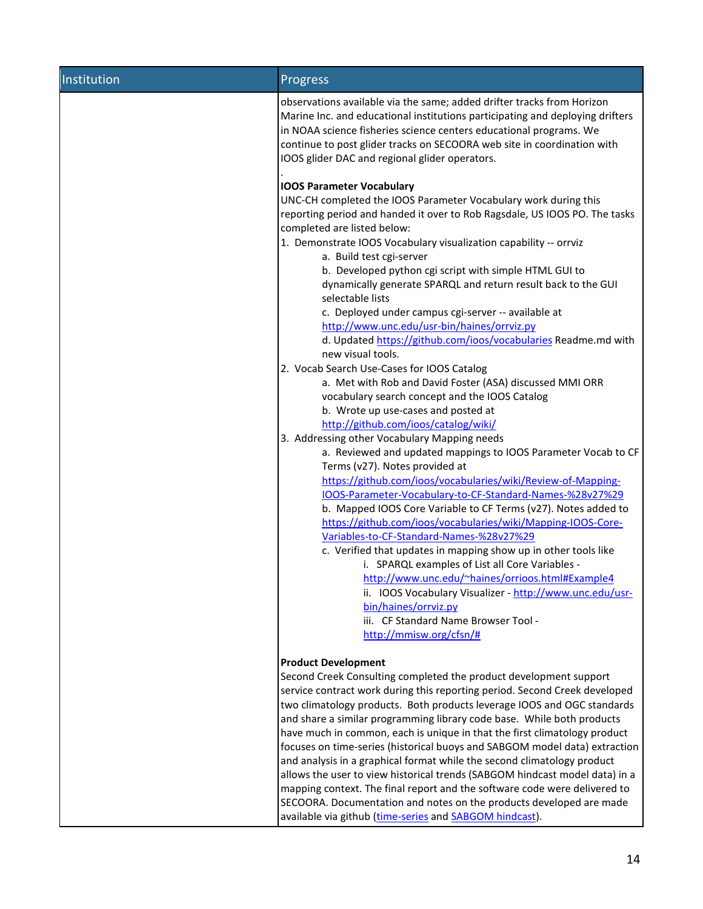| Institution | Progress                                                                                                                                                                                                                                                                                                                                                   |  |  |  |  |
|-------------|------------------------------------------------------------------------------------------------------------------------------------------------------------------------------------------------------------------------------------------------------------------------------------------------------------------------------------------------------------|--|--|--|--|
|             | observations available via the same; added drifter tracks from Horizon<br>Marine Inc. and educational institutions participating and deploying drifters<br>in NOAA science fisheries science centers educational programs. We<br>continue to post glider tracks on SECOORA web site in coordination with<br>IOOS glider DAC and regional glider operators. |  |  |  |  |
|             | <b>IOOS Parameter Vocabulary</b>                                                                                                                                                                                                                                                                                                                           |  |  |  |  |
|             | UNC-CH completed the IOOS Parameter Vocabulary work during this<br>reporting period and handed it over to Rob Ragsdale, US IOOS PO. The tasks<br>completed are listed below:                                                                                                                                                                               |  |  |  |  |
|             | 1. Demonstrate IOOS Vocabulary visualization capability -- orrviz<br>a. Build test cgi-server                                                                                                                                                                                                                                                              |  |  |  |  |
|             | b. Developed python cgi script with simple HTML GUI to<br>dynamically generate SPARQL and return result back to the GUI<br>selectable lists<br>c. Deployed under campus cgi-server -- available at                                                                                                                                                         |  |  |  |  |
|             | http://www.unc.edu/usr-bin/haines/orrviz.py                                                                                                                                                                                                                                                                                                                |  |  |  |  |
|             | d. Updated https://github.com/ioos/vocabularies Readme.md with<br>new visual tools.                                                                                                                                                                                                                                                                        |  |  |  |  |
|             | 2. Vocab Search Use-Cases for IOOS Catalog                                                                                                                                                                                                                                                                                                                 |  |  |  |  |
|             | a. Met with Rob and David Foster (ASA) discussed MMI ORR                                                                                                                                                                                                                                                                                                   |  |  |  |  |
|             | vocabulary search concept and the IOOS Catalog                                                                                                                                                                                                                                                                                                             |  |  |  |  |
|             | b. Wrote up use-cases and posted at<br>http://github.com/ioos/catalog/wiki/                                                                                                                                                                                                                                                                                |  |  |  |  |
|             | 3. Addressing other Vocabulary Mapping needs                                                                                                                                                                                                                                                                                                               |  |  |  |  |
|             | a. Reviewed and updated mappings to IOOS Parameter Vocab to CF                                                                                                                                                                                                                                                                                             |  |  |  |  |
|             | Terms (v27). Notes provided at                                                                                                                                                                                                                                                                                                                             |  |  |  |  |
|             | https://github.com/ioos/vocabularies/wiki/Review-of-Mapping-                                                                                                                                                                                                                                                                                               |  |  |  |  |
|             | IOOS-Parameter-Vocabulary-to-CF-Standard-Names-%28v27%29                                                                                                                                                                                                                                                                                                   |  |  |  |  |
|             | b. Mapped IOOS Core Variable to CF Terms (v27). Notes added to                                                                                                                                                                                                                                                                                             |  |  |  |  |
|             | https://github.com/ioos/vocabularies/wiki/Mapping-IOOS-Core-<br>Variables-to-CF-Standard-Names-%28v27%29                                                                                                                                                                                                                                                   |  |  |  |  |
|             | c. Verified that updates in mapping show up in other tools like<br>i. SPARQL examples of List all Core Variables -                                                                                                                                                                                                                                         |  |  |  |  |
|             | http://www.unc.edu/~haines/orrioos.html#Example4<br>ii. IOOS Vocabulary Visualizer - http://www.unc.edu/usr-                                                                                                                                                                                                                                               |  |  |  |  |
|             | bin/haines/orrviz.py                                                                                                                                                                                                                                                                                                                                       |  |  |  |  |
|             | iii. CF Standard Name Browser Tool -                                                                                                                                                                                                                                                                                                                       |  |  |  |  |
|             | http://mmisw.org/cfsn/#                                                                                                                                                                                                                                                                                                                                    |  |  |  |  |
|             | <b>Product Development</b>                                                                                                                                                                                                                                                                                                                                 |  |  |  |  |
|             | Second Creek Consulting completed the product development support                                                                                                                                                                                                                                                                                          |  |  |  |  |
|             | service contract work during this reporting period. Second Creek developed                                                                                                                                                                                                                                                                                 |  |  |  |  |
|             | two climatology products. Both products leverage IOOS and OGC standards                                                                                                                                                                                                                                                                                    |  |  |  |  |
|             | and share a similar programming library code base. While both products                                                                                                                                                                                                                                                                                     |  |  |  |  |
|             | have much in common, each is unique in that the first climatology product                                                                                                                                                                                                                                                                                  |  |  |  |  |
|             | focuses on time-series (historical buoys and SABGOM model data) extraction<br>and analysis in a graphical format while the second climatology product                                                                                                                                                                                                      |  |  |  |  |
|             | allows the user to view historical trends (SABGOM hindcast model data) in a                                                                                                                                                                                                                                                                                |  |  |  |  |
|             | mapping context. The final report and the software code were delivered to                                                                                                                                                                                                                                                                                  |  |  |  |  |
|             | SECOORA. Documentation and notes on the products developed are made<br>available via github (time-series and SABGOM hindcast).                                                                                                                                                                                                                             |  |  |  |  |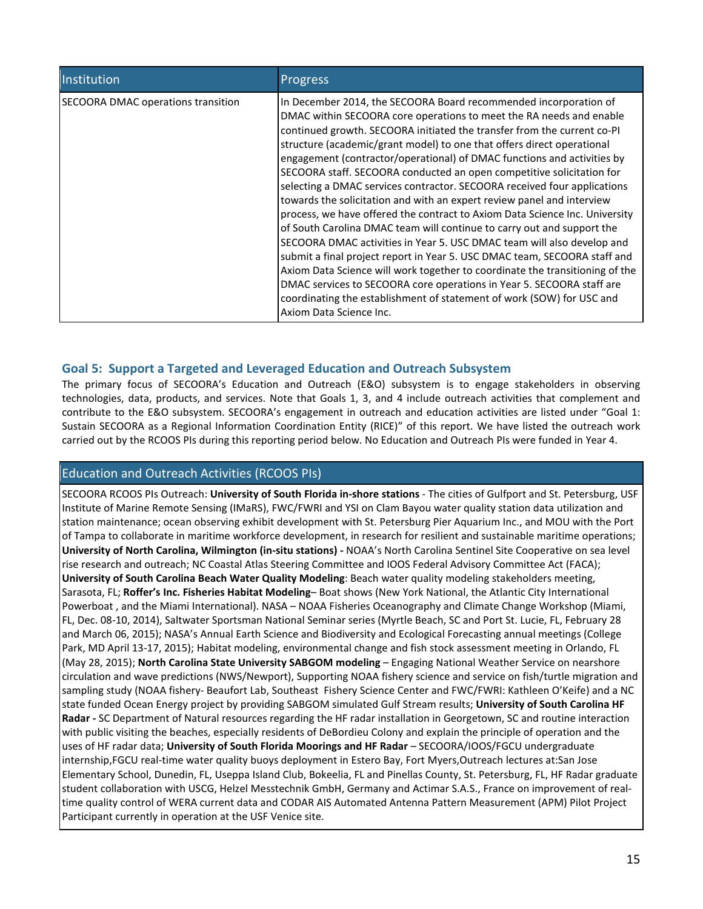| Institution                        | <b>Progress</b>                                                                                                                                                                                                                                                                                                                                                                                                                                                                                                                                                                                                                                                                                                                                                                                                                                                                                                                                                                                                                                                                                                                                                                     |
|------------------------------------|-------------------------------------------------------------------------------------------------------------------------------------------------------------------------------------------------------------------------------------------------------------------------------------------------------------------------------------------------------------------------------------------------------------------------------------------------------------------------------------------------------------------------------------------------------------------------------------------------------------------------------------------------------------------------------------------------------------------------------------------------------------------------------------------------------------------------------------------------------------------------------------------------------------------------------------------------------------------------------------------------------------------------------------------------------------------------------------------------------------------------------------------------------------------------------------|
| SECOORA DMAC operations transition | In December 2014, the SECOORA Board recommended incorporation of<br>DMAC within SECOORA core operations to meet the RA needs and enable<br>continued growth. SECOORA initiated the transfer from the current co-PI<br>structure (academic/grant model) to one that offers direct operational<br>engagement (contractor/operational) of DMAC functions and activities by<br>SECOORA staff. SECOORA conducted an open competitive solicitation for<br>selecting a DMAC services contractor. SECOORA received four applications<br>towards the solicitation and with an expert review panel and interview<br>process, we have offered the contract to Axiom Data Science Inc. University<br>of South Carolina DMAC team will continue to carry out and support the<br>SECOORA DMAC activities in Year 5. USC DMAC team will also develop and<br>submit a final project report in Year 5. USC DMAC team, SECOORA staff and<br>Axiom Data Science will work together to coordinate the transitioning of the<br>DMAC services to SECOORA core operations in Year 5. SECOORA staff are<br>coordinating the establishment of statement of work (SOW) for USC and<br>Axiom Data Science Inc. |

## **Goal 5: Support a Targeted and Leveraged Education and Outreach Subsystem**

The primary focus of SECOORA's Education and Outreach (E&O) subsystem is to engage stakeholders in observing technologies, data, products, and services. Note that Goals 1, 3, and 4 include outreach activities that complement and contribute to the E&O subsystem. SECOORA's engagement in outreach and education activities are listed under "Goal 1: Sustain SECOORA as a Regional Information Coordination Entity (RICE)" of this report. We have listed the outreach work carried out by the RCOOS PIs during this reporting period below. No Education and Outreach PIs were funded in Year 4.

#### Education and Outreach Activities (RCOOS PIs)

SECOORA RCOOS PIs Outreach: **University of South Florida in-shore stations** - The cities of Gulfport and St. Petersburg, USF Institute of Marine Remote Sensing (IMaRS), FWC/FWRI and YSI on Clam Bayou water quality station data utilization and station maintenance; ocean observing exhibit development with St. Petersburg Pier Aquarium Inc., and MOU with the Port of Tampa to collaborate in maritime workforce development, in research for resilient and sustainable maritime operations; **University of North Carolina, Wilmington (in-situ stations) -** NOAA's North Carolina Sentinel Site Cooperative on sea level rise research and outreach; NC Coastal Atlas Steering Committee and IOOS Federal Advisory Committee Act (FACA); **University of South Carolina Beach Water Quality Modeling**: Beach water quality modeling stakeholders meeting, Sarasota, FL; **Roffer's Inc. Fisheries Habitat Modeling**– Boat shows (New York National, the Atlantic City International Powerboat , and the Miami International). NASA – NOAA Fisheries Oceanography and Climate Change Workshop (Miami, FL, Dec. 08-10, 2014), Saltwater Sportsman National Seminar series (Myrtle Beach, SC and Port St. Lucie, FL, February 28 and March 06, 2015); NASA's Annual Earth Science and Biodiversity and Ecological Forecasting annual meetings (College Park, MD April 13-17, 2015); Habitat modeling, environmental change and fish stock assessment meeting in Orlando, FL (May 28, 2015); **North Carolina State University SABGOM modeling** – Engaging National Weather Service on nearshore circulation and wave predictions (NWS/Newport), Supporting NOAA fishery science and service on fish/turtle migration and sampling study (NOAA fishery- Beaufort Lab, Southeast Fishery Science Center and FWC/FWRI: Kathleen O'Keife) and a NC state funded Ocean Energy project by providing SABGOM simulated Gulf Stream results; **University of South Carolina HF Radar -** SC Department of Natural resources regarding the HF radar installation in Georgetown, SC and routine interaction with public visiting the beaches, especially residents of DeBordieu Colony and explain the principle of operation and the uses of HF radar data; **University of South Florida Moorings and HF Radar** – SECOORA/IOOS/FGCU undergraduate internship,FGCU real-time water quality buoys deployment in Estero Bay, Fort Myers,Outreach lectures at:San Jose Elementary School, Dunedin, FL, Useppa Island Club, Bokeelia, FL and Pinellas County, St. Petersburg, FL, HF Radar graduate student collaboration with USCG, Helzel Messtechnik GmbH, Germany and Actimar S.A.S., France on improvement of realtime quality control of WERA current data and CODAR AIS Automated Antenna Pattern Measurement (APM) Pilot Project Participant currently in operation at the USF Venice site.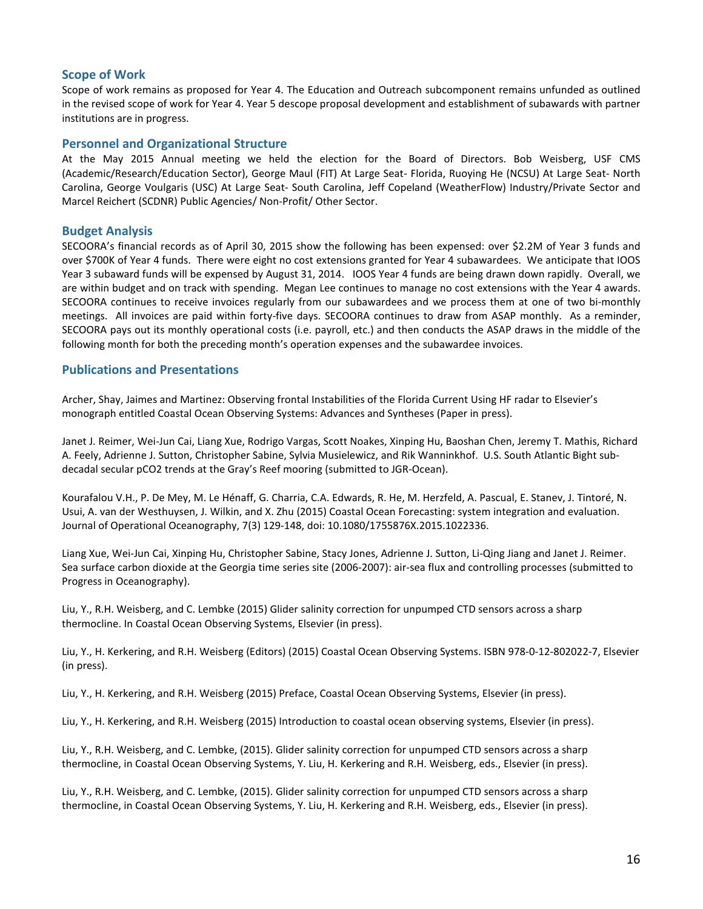#### **Scope of Work**

Scope of work remains as proposed for Year 4. The Education and Outreach subcomponent remains unfunded as outlined in the revised scope of work for Year 4. Year 5 descope proposal development and establishment of subawards with partner institutions are in progress.

#### **Personnel and Organizational Structure**

At the May 2015 Annual meeting we held the election for the Board of Directors. Bob Weisberg, USF CMS (Academic/Research/Education Sector), George Maul (FIT) At Large Seat- Florida, Ruoying He (NCSU) At Large Seat- North Carolina, George Voulgaris (USC) At Large Seat- South Carolina, Jeff Copeland (WeatherFlow) Industry/Private Sector and Marcel Reichert (SCDNR) Public Agencies/ Non-Profit/ Other Sector.

#### **Budget Analysis**

SECOORA's financial records as of April 30, 2015 show the following has been expensed: over \$2.2M of Year 3 funds and over \$700K of Year 4 funds. There were eight no cost extensions granted for Year 4 subawardees. We anticipate that IOOS Year 3 subaward funds will be expensed by August 31, 2014. IOOS Year 4 funds are being drawn down rapidly. Overall, we are within budget and on track with spending. Megan Lee continues to manage no cost extensions with the Year 4 awards. SECOORA continues to receive invoices regularly from our subawardees and we process them at one of two bi-monthly meetings. All invoices are paid within forty-five days. SECOORA continues to draw from ASAP monthly. As a reminder, SECOORA pays out its monthly operational costs (i.e. payroll, etc.) and then conducts the ASAP draws in the middle of the following month for both the preceding month's operation expenses and the subawardee invoices.

#### **Publications and Presentations**

Archer, Shay, Jaimes and Martinez: Observing frontal Instabilities of the Florida Current Using HF radar to Elsevier's monograph entitled Coastal Ocean Observing Systems: Advances and Syntheses (Paper in press).

Janet J. Reimer, Wei-Jun Cai, Liang Xue, Rodrigo Vargas, Scott Noakes, Xinping Hu, Baoshan Chen, Jeremy T. Mathis, Richard A. Feely, Adrienne J. Sutton, Christopher Sabine, Sylvia Musielewicz, and Rik Wanninkhof. U.S. South Atlantic Bight subdecadal secular pCO2 trends at the Gray's Reef mooring (submitted to JGR-Ocean).

Kourafalou V.H., P. De Mey, M. Le Hénaff, G. Charria, C.A. Edwards, R. He, M. Herzfeld, A. Pascual, E. Stanev, J. Tintoré, N. Usui, A. van der Westhuysen, J. Wilkin, and X. Zhu (2015) Coastal Ocean Forecasting: system integration and evaluation. Journal of Operational Oceanography, 7(3) 129-148, doi: 10.1080/1755876X.2015.1022336.

Liang Xue, Wei-Jun Cai, Xinping Hu, Christopher Sabine, Stacy Jones, Adrienne J. Sutton, Li-Qing Jiang and Janet J. Reimer. Sea surface carbon dioxide at the Georgia time series site (2006-2007): air-sea flux and controlling processes (submitted to Progress in Oceanography).

Liu, Y., R.H. Weisberg, and C. Lembke (2015) Glider salinity correction for unpumped CTD sensors across a sharp thermocline. In Coastal Ocean Observing Systems, Elsevier (in press).

Liu, Y., H. Kerkering, and R.H. Weisberg (Editors) (2015) Coastal Ocean Observing Systems. ISBN 978-0-12-802022-7, Elsevier (in press).

Liu, Y., H. Kerkering, and R.H. Weisberg (2015) Preface, Coastal Ocean Observing Systems, Elsevier (in press).

Liu, Y., H. Kerkering, and R.H. Weisberg (2015) Introduction to coastal ocean observing systems, Elsevier (in press).

Liu, Y., R.H. Weisberg, and C. Lembke, (2015). Glider salinity correction for unpumped CTD sensors across a sharp thermocline, in Coastal Ocean Observing Systems, Y. Liu, H. Kerkering and R.H. Weisberg, eds., Elsevier (in press).

Liu, Y., R.H. Weisberg, and C. Lembke, (2015). Glider salinity correction for unpumped CTD sensors across a sharp thermocline, in Coastal Ocean Observing Systems, Y. Liu, H. Kerkering and R.H. Weisberg, eds., Elsevier (in press).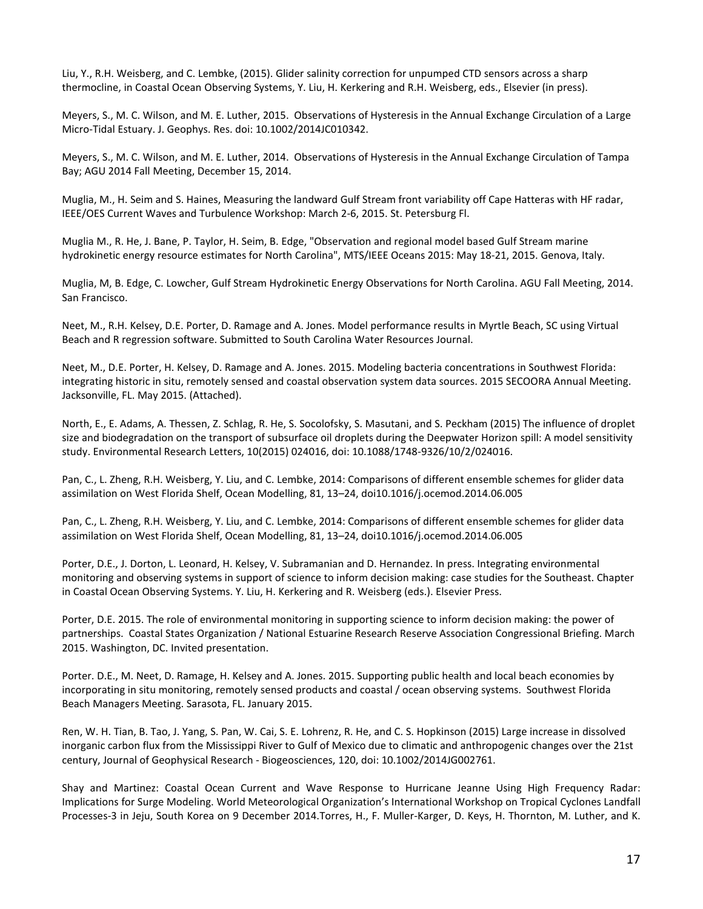Liu, Y., R.H. Weisberg, and C. Lembke, (2015). Glider salinity correction for unpumped CTD sensors across a sharp thermocline, in Coastal Ocean Observing Systems, Y. Liu, H. Kerkering and R.H. Weisberg, eds., Elsevier (in press).

Meyers, S., M. C. Wilson, and M. E. Luther, 2015. Observations of Hysteresis in the Annual Exchange Circulation of a Large Micro-Tidal Estuary. J. Geophys. Res. doi: 10.1002/2014JC010342.

Meyers, S., M. C. Wilson, and M. E. Luther, 2014. Observations of Hysteresis in the Annual Exchange Circulation of Tampa Bay; AGU 2014 Fall Meeting, December 15, 2014.

Muglia, M., H. Seim and S. Haines, Measuring the landward Gulf Stream front variability off Cape Hatteras with HF radar, IEEE/OES Current Waves and Turbulence Workshop: March 2-6, 2015. St. Petersburg Fl.

Muglia M., R. He, J. Bane, P. Taylor, H. Seim, B. Edge, "Observation and regional model based Gulf Stream marine hydrokinetic energy resource estimates for North Carolina", MTS/IEEE Oceans 2015: May 18-21, 2015. Genova, Italy.

Muglia, M, B. Edge, C. Lowcher, Gulf Stream Hydrokinetic Energy Observations for North Carolina. AGU Fall Meeting, 2014. San Francisco.

Neet, M., R.H. Kelsey, D.E. Porter, D. Ramage and A. Jones. Model performance results in Myrtle Beach, SC using Virtual Beach and R regression software. Submitted to South Carolina Water Resources Journal.

Neet, M., D.E. Porter, H. Kelsey, D. Ramage and A. Jones. 2015. Modeling bacteria concentrations in Southwest Florida: integrating historic in situ, remotely sensed and coastal observation system data sources. 2015 SECOORA Annual Meeting. Jacksonville, FL. May 2015. (Attached).

North, E., E. Adams, A. Thessen, Z. Schlag, R. He, S. Socolofsky, S. Masutani, and S. Peckham (2015) The influence of droplet size and biodegradation on the transport of subsurface oil droplets during the Deepwater Horizon spill: A model sensitivity study. Environmental Research Letters, 10(2015) 024016, doi: 10.1088/1748-9326/10/2/024016.

Pan, C., L. Zheng, R.H. Weisberg, Y. Liu, and C. Lembke, 2014: Comparisons of different ensemble schemes for glider data assimilation on West Florida Shelf, Ocean Modelling, 81, 13–24, doi10.1016/j.ocemod.2014.06.005

Pan, C., L. Zheng, R.H. Weisberg, Y. Liu, and C. Lembke, 2014: Comparisons of different ensemble schemes for glider data assimilation on West Florida Shelf, Ocean Modelling, 81, 13–24, doi10.1016/j.ocemod.2014.06.005

Porter, D.E., J. Dorton, L. Leonard, H. Kelsey, V. Subramanian and D. Hernandez. In press. Integrating environmental monitoring and observing systems in support of science to inform decision making: case studies for the Southeast. Chapter in Coastal Ocean Observing Systems. Y. Liu, H. Kerkering and R. Weisberg (eds.). Elsevier Press.

Porter, D.E. 2015. The role of environmental monitoring in supporting science to inform decision making: the power of partnerships. Coastal States Organization / National Estuarine Research Reserve Association Congressional Briefing. March 2015. Washington, DC. Invited presentation.

Porter. D.E., M. Neet, D. Ramage, H. Kelsey and A. Jones. 2015. Supporting public health and local beach economies by incorporating in situ monitoring, remotely sensed products and coastal / ocean observing systems. Southwest Florida Beach Managers Meeting. Sarasota, FL. January 2015.

Ren, W. H. Tian, B. Tao, J. Yang, S. Pan, W. Cai, S. E. Lohrenz, R. He, and C. S. Hopkinson (2015) Large increase in dissolved inorganic carbon flux from the Mississippi River to Gulf of Mexico due to climatic and anthropogenic changes over the 21st century, Journal of Geophysical Research - Biogeosciences, 120, doi: 10.1002/2014JG002761.

Shay and Martinez: Coastal Ocean Current and Wave Response to Hurricane Jeanne Using High Frequency Radar: Implications for Surge Modeling. World Meteorological Organization's International Workshop on Tropical Cyclones Landfall Processes-3 in Jeju, South Korea on 9 December 2014.Torres, H., F. Muller-Karger, D. Keys, H. Thornton, M. Luther, and K.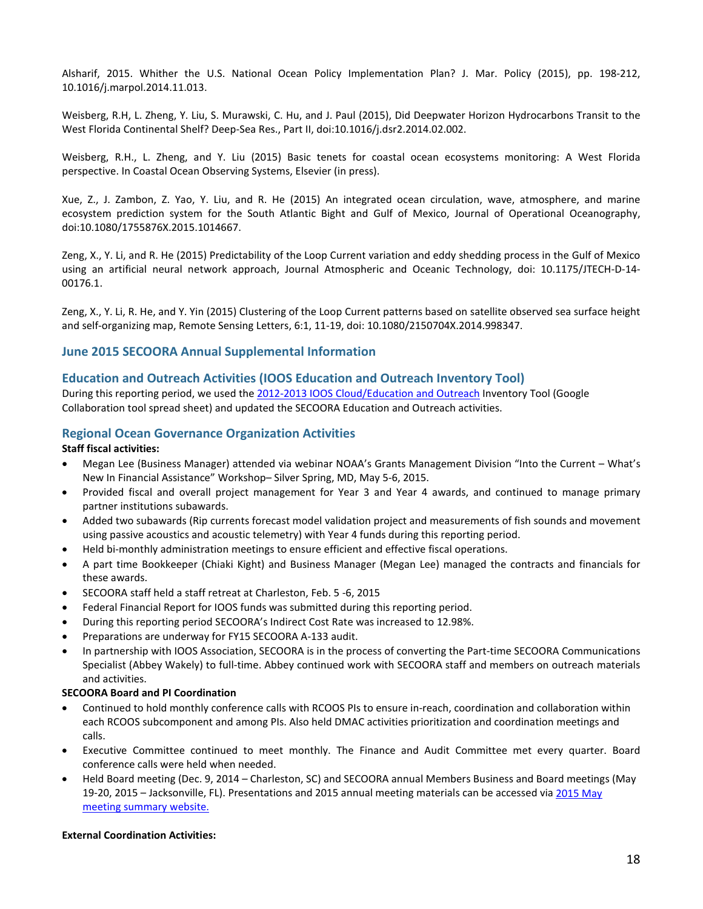Alsharif, 2015. Whither the U.S. National Ocean Policy Implementation Plan? J. Mar. Policy (2015), pp. 198-212, 10.1016/j.marpol.2014.11.013.

Weisberg, R.H, L. Zheng, Y. Liu, S. Murawski, C. Hu, and J. Paul (2015), Did Deepwater Horizon Hydrocarbons Transit to the West Florida Continental Shelf? Deep-Sea Res., Part II, doi:10.1016/j.dsr2.2014.02.002.

Weisberg, R.H., L. Zheng, and Y. Liu (2015) Basic tenets for coastal ocean ecosystems monitoring: A West Florida perspective. In Coastal Ocean Observing Systems, Elsevier (in press).

Xue, Z., J. Zambon, Z. Yao, Y. Liu, and R. He (2015) An integrated ocean circulation, wave, atmosphere, and marine ecosystem prediction system for the South Atlantic Bight and Gulf of Mexico, Journal of Operational Oceanography, doi:10.1080/1755876X.2015.1014667.

Zeng, X., Y. Li, and R. He (2015) Predictability of the Loop Current variation and eddy shedding process in the Gulf of Mexico using an artificial neural network approach, Journal Atmospheric and Oceanic Technology, doi: 10.1175/JTECH-D-14- 00176.1.

Zeng, X., Y. Li, R. He, and Y. Yin (2015) Clustering of the Loop Current patterns based on satellite observed sea surface height and self-organizing map, Remote Sensing Letters, 6:1, 11-19, doi: 10.1080/2150704X.2014.998347.

#### **June 2015 SECOORA Annual Supplemental Information**

#### **Education and Outreach Activities (IOOS Education and Outreach Inventory Tool)**

During this reporting period, we used the [2012-2013 IOOS Cloud/Education and Outreach](https://sites.google.com/a/noaa.gov/iooscloud/education-outreach) Inventory Tool (Google Collaboration tool spread sheet) and updated the SECOORA Education and Outreach activities.

#### **Regional Ocean Governance Organization Activities**

#### **Staff fiscal activities:**

- Megan Lee (Business Manager) attended via webinar NOAA's Grants Management Division "Into the Current What's New In Financial Assistance" Workshop– Silver Spring, MD, May 5-6, 2015.
- Provided fiscal and overall project management for Year 3 and Year 4 awards, and continued to manage primary partner institutions subawards.
- Added two subawards (Rip currents forecast model validation project and measurements of fish sounds and movement using passive acoustics and acoustic telemetry) with Year 4 funds during this reporting period.
- Held bi-monthly administration meetings to ensure efficient and effective fiscal operations.
- A part time Bookkeeper (Chiaki Kight) and Business Manager (Megan Lee) managed the contracts and financials for these awards.
- SECOORA staff held a staff retreat at Charleston, Feb. 5 -6, 2015
- Federal Financial Report for IOOS funds was submitted during this reporting period.
- During this reporting period SECOORA's Indirect Cost Rate was increased to 12.98%.
- Preparations are underway for FY15 SECOORA A-133 audit.
- In partnership with IOOS Association, SECOORA is in the process of converting the Part-time SECOORA Communications Specialist (Abbey Wakely) to full-time. Abbey continued work with SECOORA staff and members on outreach materials and activities.

#### **SECOORA Board and PI Coordination**

- Continued to hold monthly conference calls with RCOOS PIs to ensure in-reach, coordination and collaboration within each RCOOS subcomponent and among PIs. Also held DMAC activities prioritization and coordination meetings and calls.
- Executive Committee continued to meet monthly. The Finance and Audit Committee met every quarter. Board conference calls were held when needed.
- Held Board meeting (Dec. 9, 2014 Charleston, SC) and SECOORA annual Members Business and Board meetings (May 19-20, 2015 – Jacksonville, FL). Presentations and 2015 annual meeting materials can be accessed vi[a 2015 May](http://secoora.org/node/511) [meeting summary website.](http://secoora.org/node/511)

#### **External Coordination Activities:**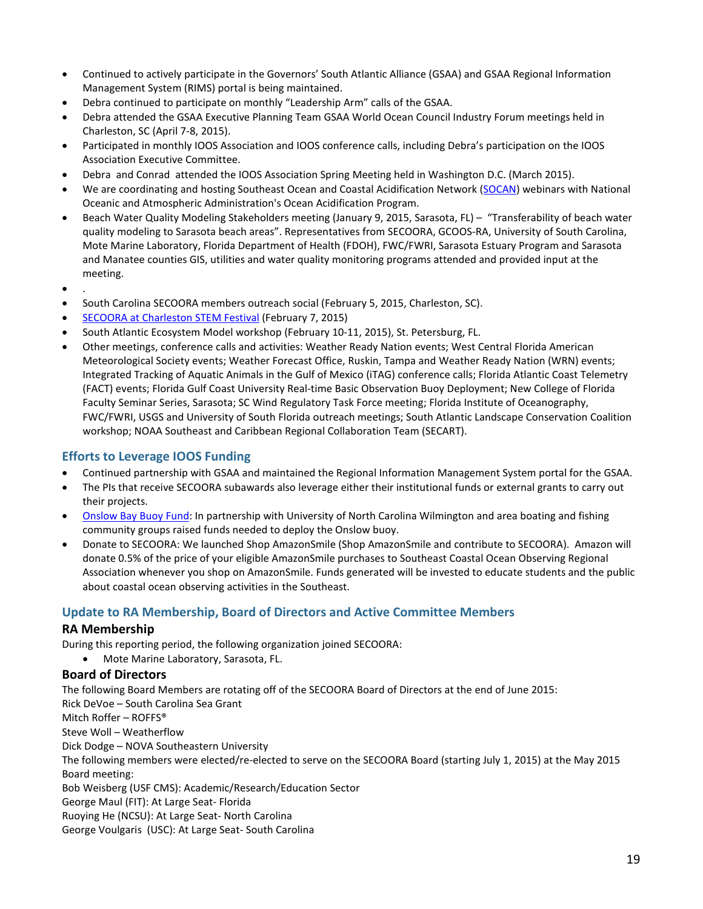- Continued to actively participate in the Governors' South Atlantic Alliance (GSAA) and GSAA Regional Information Management System (RIMS) portal is being maintained.
- Debra continued to participate on monthly "Leadership Arm" calls of the GSAA.
- Debra attended the GSAA Executive Planning Team GSAA World Ocean Council Industry Forum meetings held in Charleston, SC (April 7-8, 2015).
- Participated in monthly IOOS Association and IOOS conference calls, including Debra's participation on the IOOS Association Executive Committee.
- Debra and Conrad attended the IOOS Association Spring Meeting held in Washington D.C. (March 2015).
- We are coordinating and hosting Southeast Ocean and Coastal Acidification Network [\(SOCAN\)](http://secoora.org/socan) webinars with National Oceanic and Atmospheric Administration's Ocean Acidification Program.
- Beach Water Quality Modeling Stakeholders meeting (January 9, 2015, Sarasota, FL) "Transferability of beach water quality modeling to Sarasota beach areas". Representatives from SECOORA, GCOOS-RA, University of South Carolina, Mote Marine Laboratory, Florida Department of Health (FDOH), FWC/FWRI, Sarasota Estuary Program and Sarasota and Manatee counties GIS, utilities and water quality monitoring programs attended and provided input at the meeting.
- .
- South Carolina SECOORA members outreach social (February 5, 2015, Charleston, SC).
- [SECOORA at Charleston STEM Festival](http://secoora.org/2015_Charleston_STEM_Festival) (February 7, 2015)
- South Atlantic Ecosystem Model workshop (February 10-11, 2015), St. Petersburg, FL.
- Other meetings, conference calls and activities: Weather Ready Nation events; West Central Florida American Meteorological Society events; Weather Forecast Office, Ruskin, Tampa and Weather Ready Nation (WRN) events; Integrated Tracking of Aquatic Animals in the Gulf of Mexico (iTAG) conference calls; Florida Atlantic Coast Telemetry (FACT) events; Florida Gulf Coast University Real-time Basic Observation Buoy Deployment; New College of Florida Faculty Seminar Series, Sarasota; SC Wind Regulatory Task Force meeting; Florida Institute of Oceanography, FWC/FWRI, USGS and University of South Florida outreach meetings; South Atlantic Landscape Conservation Coalition workshop; NOAA Southeast and Caribbean Regional Collaboration Team (SECART).

#### **Efforts to Leverage IOOS Funding**

- Continued partnership with GSAA and maintained the Regional Information Management System portal for the GSAA.
- The PIs that receive SECOORA subawards also leverage either their institutional funds or external grants to carry out their projects.
- [Onslow Bay Buoy Fund:](http://secoora.org/buoy) In partnership with University of North Carolina Wilmington and area boating and fishing community groups raised funds needed to deploy the Onslow buoy.
- Donate to SECOORA: We launched Shop AmazonSmile (Shop AmazonSmile and contribute to SECOORA). Amazon will donate 0.5% of the price of your eligible AmazonSmile purchases to Southeast Coastal Ocean Observing Regional Association whenever you shop on AmazonSmile. Funds generated will be invested to educate students and the public about coastal ocean observing activities in the Southeast.

#### **Update to RA Membership, Board of Directors and Active Committee Members**

#### **RA Membership**

During this reporting period, the following organization joined SECOORA:

• Mote Marine Laboratory, Sarasota, FL.

#### **Board of Directors**

The following Board Members are rotating off of the SECOORA Board of Directors at the end of June 2015: Rick DeVoe – South Carolina Sea Grant Mitch Roffer – ROFFS® Steve Woll – Weatherflow Dick Dodge – NOVA Southeastern University The following members were elected/re-elected to serve on the SECOORA Board (starting July 1, 2015) at the May 2015 Board meeting: Bob Weisberg (USF CMS): Academic/Research/Education Sector George Maul (FIT): At Large Seat- Florida Ruoying He (NCSU): At Large Seat- North Carolina George Voulgaris (USC): At Large Seat- South Carolina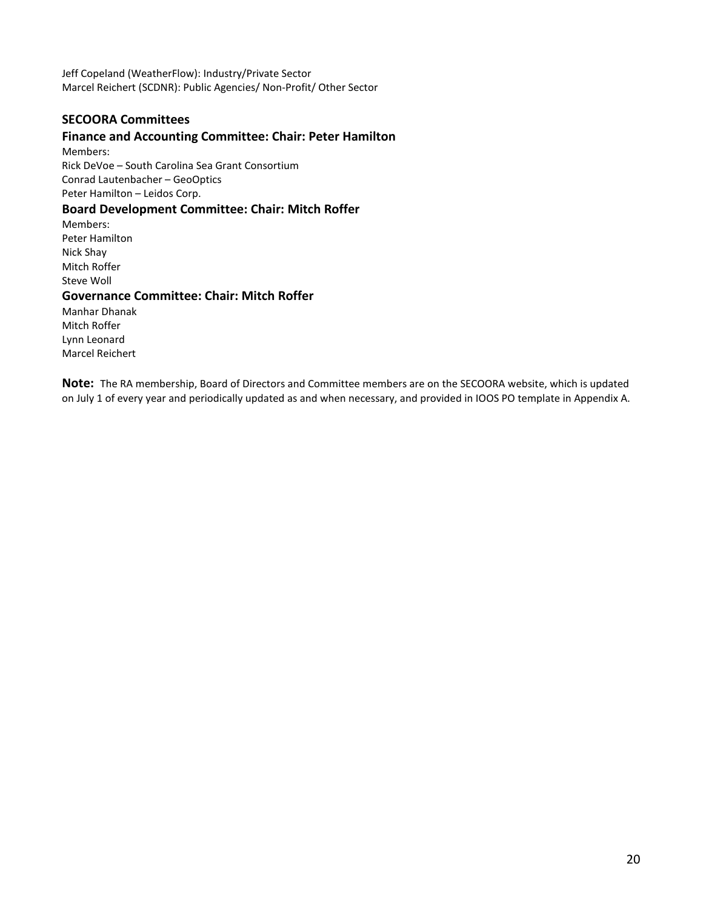Jeff Copeland (WeatherFlow): Industry/Private Sector Marcel Reichert (SCDNR): Public Agencies/ Non-Profit/ Other Sector

## **SECOORA Committees**

### **Finance and Accounting Committee: Chair: Peter Hamilton**

Members: Rick DeVoe – South Carolina Sea Grant Consortium Conrad Lautenbacher – GeoOptics Peter Hamilton – Leidos Corp.

### **Board Development Committee: Chair: Mitch Roffer**

Members: Peter Hamilton Nick Shay Mitch Roffer Steve Woll

#### **Governance Committee: Chair: Mitch Roffer**

Manhar Dhanak Mitch Roffer Lynn Leonard Marcel Reichert

**Note:** The RA membership, Board of Directors and Committee members are on the SECOORA website, which is updated on July 1 of every year and periodically updated as and when necessary, and provided in IOOS PO template in Appendix A.